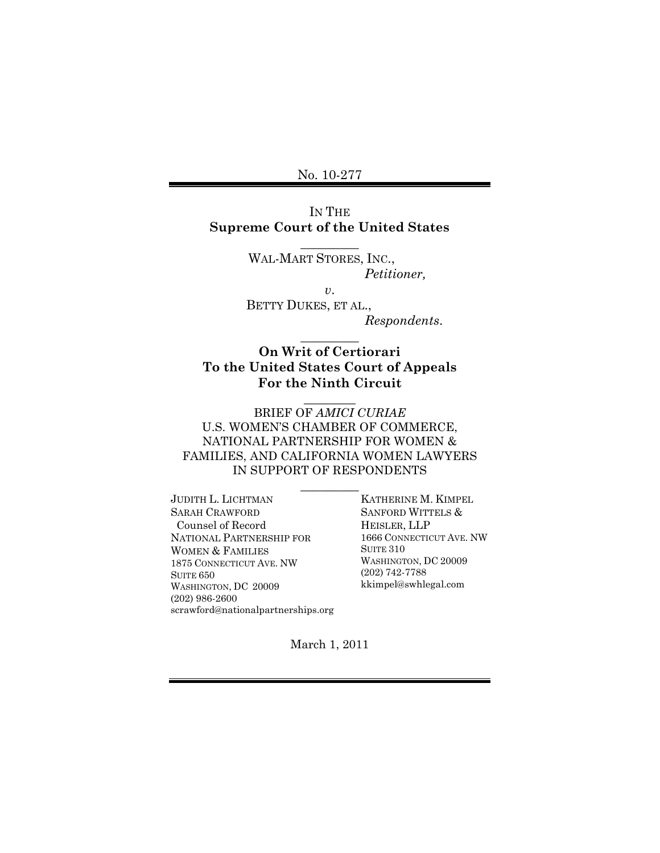No. 10-277

## IN THE **Supreme Court of the United States**

 $\overline{\phantom{a}}$ 

WAL-MART STORES, INC.,  *Petitioner,* 

*v*.

 BETTY DUKES, ET AL.,  *Respondents*.

# **On Writ of Certiorari To the United States Court of Appeals For the Ninth Circuit**

 $\overline{\phantom{a}}$ 

 $\overline{\phantom{a}}$ 

BRIEF OF *AMICI CURIAE* U.S. WOMEN'S CHAMBER OF COMMERCE, NATIONAL PARTNERSHIP FOR WOMEN & FAMILIES, AND CALIFORNIA WOMEN LAWYERS IN SUPPORT OF RESPONDENTS

 $\overline{\phantom{a}}$  . The set of  $\overline{\phantom{a}}$ 

JUDITH L. LICHTMAN SARAH CRAWFORD Counsel of Record NATIONAL PARTNERSHIP FOR WOMEN & FAMILIES 1875 CONNECTICUT AVE. NW SUITE 650 WASHINGTON, DC 20009 (202) 986-2600 scrawford@nationalpartnerships.org KATHERINE M. KIMPEL SANFORD WITTELS & HEISLER, LLP 1666 CONNECTICUT AVE. NW SUITE 310 WASHINGTON, DC 20009 (202) 742-7788 kkimpel@swhlegal.com

March 1, 2011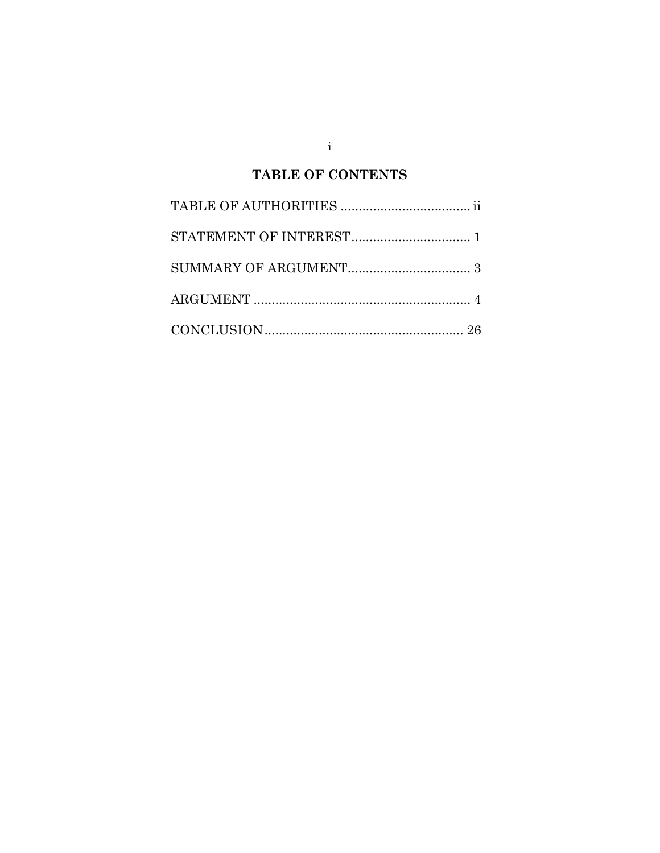# **TABLE OF CONTENTS**

in the  $\mathbf{i}$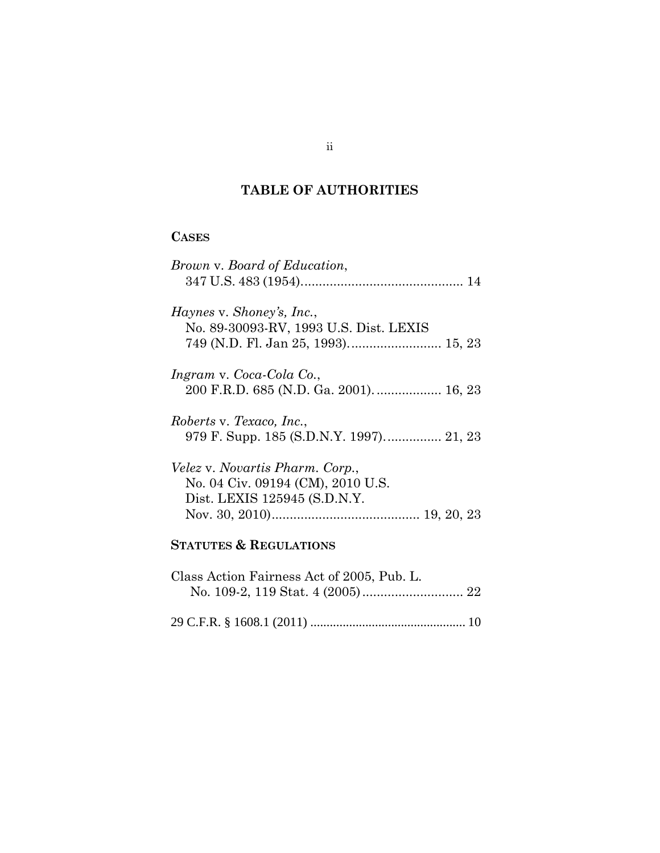# **TABLE OF AUTHORITIES**

# **CASES**

| Brown v. Board of Education,                                                                                |
|-------------------------------------------------------------------------------------------------------------|
| Haynes v. Shoney's, Inc.,<br>No. 89-30093-RV, 1993 U.S. Dist. LEXIS                                         |
| Ingram v. Coca-Cola Co.,                                                                                    |
| Roberts v. Texaco, Inc.,                                                                                    |
| <i>Velez v. Novartis Pharm. Corp.,</i><br>No. 04 Civ. 09194 (CM), 2010 U.S.<br>Dist. LEXIS 125945 (S.D.N.Y. |
| <b>STATUTES &amp; REGULATIONS</b>                                                                           |
| Class Action Fairness Act of 2005, Pub. L.                                                                  |
|                                                                                                             |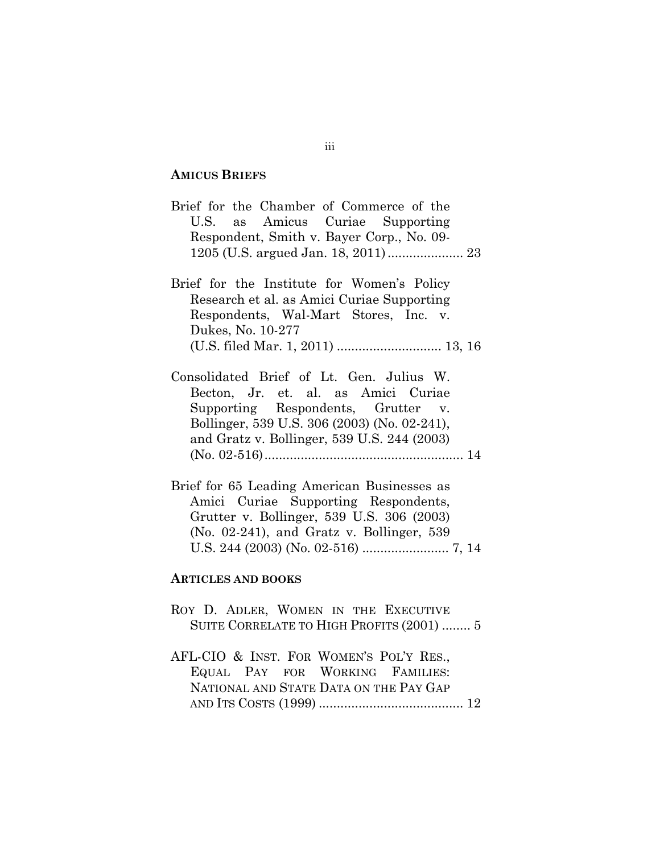### **AMICUS BRIEFS**

Brief for the Chamber of Commerce of the U.S. as Amicus Curiae Supporting Respondent, Smith v. Bayer Corp., No. 09- 1205 (U.S. argued Jan. 18, 2011) ..................... 23

- Brief for the Institute for Women's Policy Research et al. as Amici Curiae Supporting Respondents, Wal-Mart Stores, Inc. v. Dukes, No. 10-277 (U.S. filed Mar. 1, 2011) ............................. 13, 16
- Consolidated Brief of Lt. Gen. Julius W. Becton, Jr. et. al. as Amici Curiae Supporting Respondents, Grutter v. Bollinger, 539 U.S. 306 (2003) (No. 02-241), and Gratz v. Bollinger, 539 U.S. 244 (2003) (No. 02-516) ....................................................... 14
- Brief for 65 Leading American Businesses as Amici Curiae Supporting Respondents, Grutter v. Bollinger, 539 U.S. 306 (2003) (No. 02-241), and Gratz v. Bollinger, 539 U.S. 244 (2003) (No. 02-516) ........................ 7, 14

#### **ARTICLES AND BOOKS**

- ROY D. ADLER, WOMEN IN THE EXECUTIVE SUITE CORRELATE TO HIGH PROFITS (2001) ........ 5
- AFL-CIO & INST. FOR WOMEN'S POL'Y RES., EQUAL PAY FOR WORKING FAMILIES: NATIONAL AND STATE DATA ON THE PAY GAP AND ITS COSTS (1999) ........................................ 12

#### iii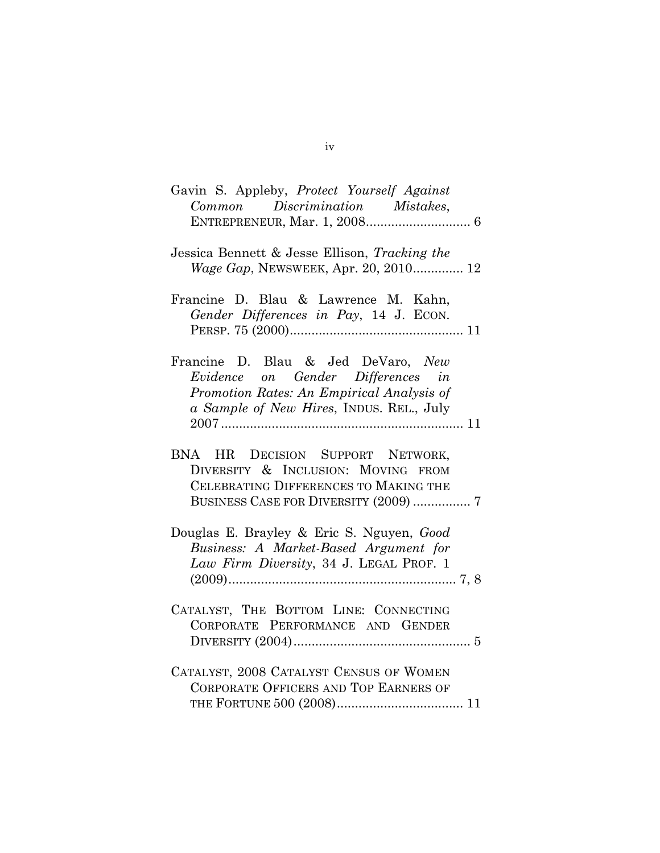| Gavin S. Appleby, Protect Yourself Against<br>Common Discrimination Mistakes,                                                                                    |
|------------------------------------------------------------------------------------------------------------------------------------------------------------------|
| Jessica Bennett & Jesse Ellison, Tracking the<br><i>Wage Gap</i> , NEWSWEEK, Apr. 20, 2010 12                                                                    |
| Francine D. Blau & Lawrence M. Kahn,<br>Gender Differences in Pay, 14 J. ECON.                                                                                   |
| Francine D. Blau & Jed DeVaro, New<br>Evidence on Gender Differences in<br>Promotion Rates: An Empirical Analysis of<br>a Sample of New Hires, INDUS. REL., July |
| BNA HR DECISION SUPPORT NETWORK,<br>DIVERSITY & INCLUSION: MOVING FROM<br>CELEBRATING DIFFERENCES TO MAKING THE<br>BUSINESS CASE FOR DIVERSITY (2009)  7         |
| Douglas E. Brayley & Eric S. Nguyen, Good<br>Business: A Market-Based Argument for<br>Law Firm Diversity, 34 J. LEGAL PROF. 1                                    |
| CATALYST, THE BOTTOM LINE: CONNECTING<br>CORPORATE PERFORMANCE AND GENDER                                                                                        |
| CATALYST, 2008 CATALYST CENSUS OF WOMEN<br>CORPORATE OFFICERS AND TOP EARNERS OF                                                                                 |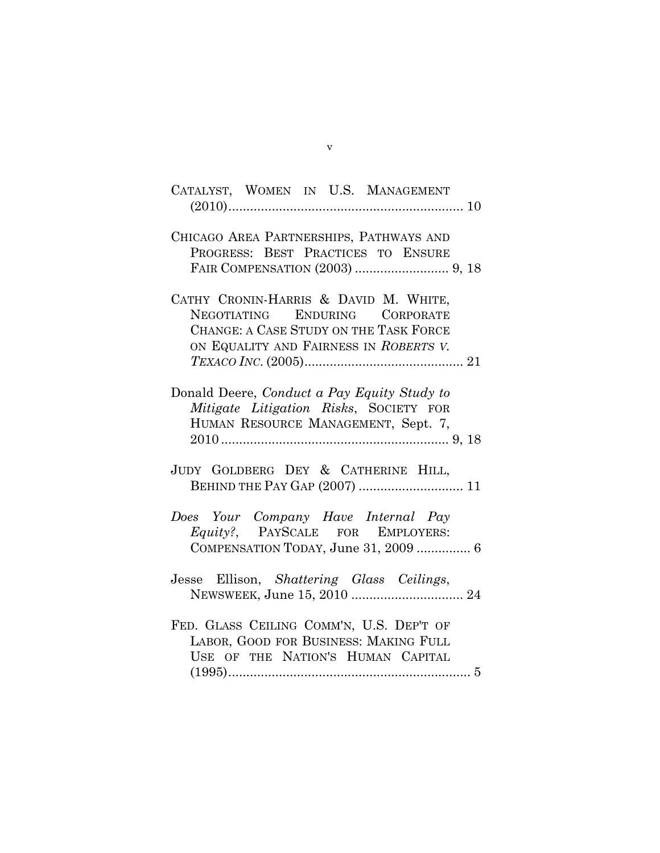| CATALYST, WOMEN IN U.S. MANAGEMENT                                                                                                                             |
|----------------------------------------------------------------------------------------------------------------------------------------------------------------|
| CHICAGO AREA PARTNERSHIPS, PATHWAYS AND<br>PROGRESS: BEST PRACTICES TO ENSURE                                                                                  |
| CATHY CRONIN-HARRIS & DAVID M. WHITE,<br>ENDURING CORPORATE<br>NEGOTIATING<br>CHANGE: A CASE STUDY ON THE TASK FORCE<br>ON EQUALITY AND FAIRNESS IN ROBERTS V. |
| Donald Deere, Conduct a Pay Equity Study to<br>Mitigate Litigation Risks, SOCIETY FOR<br>HUMAN RESOURCE MANAGEMENT, Sept. 7,                                   |
| JUDY GOLDBERG DEY & CATHERINE HILL,<br>BEHIND THE PAY GAP (2007)  11                                                                                           |
| Does Your Company Have Internal Pay<br>Equity?, PAYSCALE FOR EMPLOYERS:<br>COMPENSATION TODAY, June 31, 2009  6                                                |
| Jesse Ellison, Shattering Glass Ceilings,                                                                                                                      |
| FED. GLASS CEILING COMM'N, U.S. DEP'T OF<br>LABOR, GOOD FOR BUSINESS: MAKING FULL<br>USE OF THE NATION'S HUMAN CAPITAL                                         |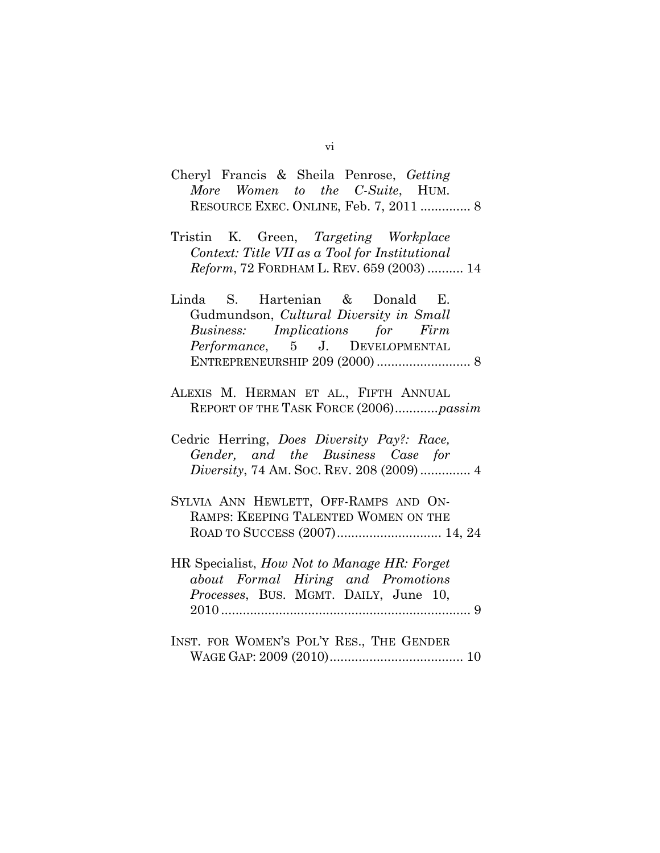- Cheryl Francis & Sheila Penrose, *Getting More Women to the C-Suite*, HUM. RESOURCE EXEC. ONLINE, Feb. 7, 2011 .............. 8
- Tristin K. Green, *Targeting Workplace Context: Title VII as a Tool for Institutional Reform*, 72 FORDHAM L. REV. 659 (2003) .......... 14
- Linda S. Hartenian & Donald E. Gudmundson, *Cultural Diversity in Small Business: Implications for Firm Performance*, 5 J. DEVELOPMENTAL ENTREPRENEURSHIP 209 (2000) .......................... 8
- ALEXIS M. HERMAN ET AL., FIFTH ANNUAL REPORT OF THE TASK FORCE (2006) ............ *passim*
- Cedric Herring, *Does Diversity Pay?: Race, Gender, and the Business Case for Diversity*, 74 AM. SOC. REV. 208 (2009) .............. 4
- SYLVIA ANN HEWLETT, OFF-RAMPS AND ON-RAMPS: KEEPING TALENTED WOMEN ON THE ROAD TO SUCCESS (2007) ............................. 14, 24
- HR Specialist, *How Not to Manage HR: Forget about Formal Hiring and Promotions Processes*, BUS. MGMT. DAILY, June 10, 2010 ..................................................................... 9
- INST. FOR WOMEN'S POL'Y RES., THE GENDER WAGE GAP: 2009 (2010) ..................................... 10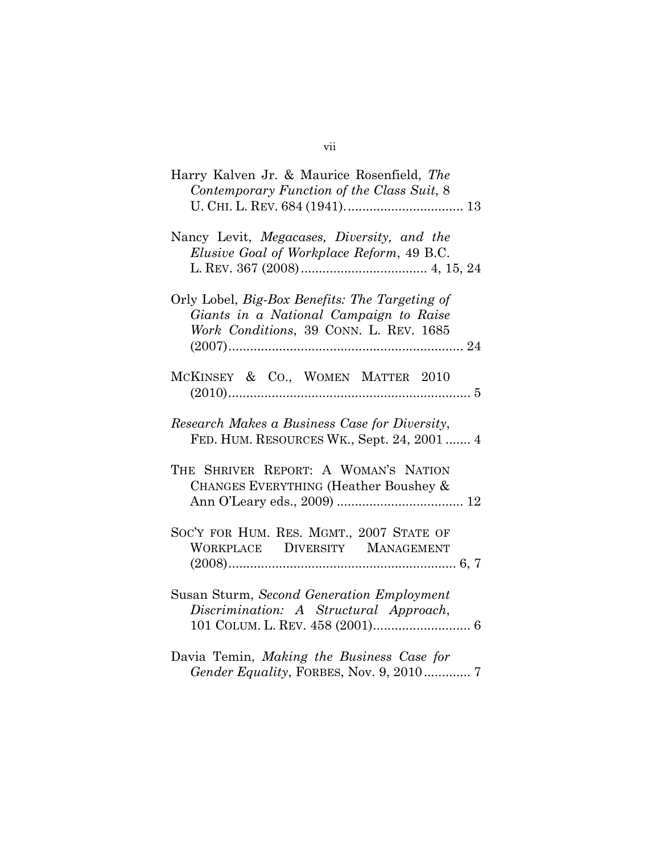| Harry Kalven Jr. & Maurice Rosenfield, The<br>Contemporary Function of the Class Suit, 8                                           |
|------------------------------------------------------------------------------------------------------------------------------------|
| Nancy Levit, Megacases, Diversity, and the<br>Elusive Goal of Workplace Reform, 49 B.C.                                            |
| Orly Lobel, Big-Box Benefits: The Targeting of<br>Giants in a National Campaign to Raise<br>Work Conditions, 39 CONN. L. REV. 1685 |
| MCKINSEY & CO., WOMEN MATTER 2010<br>$(2010)$                                                                                      |
| Research Makes a Business Case for Diversity,<br>FED. HUM. RESOURCES WK., Sept. 24, 2001  4                                        |
| THE SHRIVER REPORT: A WOMAN'S NATION<br>CHANGES EVERYTHING (Heather Boushey &                                                      |
| SOC'Y FOR HUM. RES. MGMT., 2007 STATE OF<br>WORKPLACE DIVERSITY MANAGEMENT                                                         |
| Susan Sturm, Second Generation Employment<br>Discrimination: A Structural Approach,                                                |
| Davia Temin, Making the Business Case for                                                                                          |

*Gender Equality*, FORBES, Nov. 9, 2010 ............. 7

# vii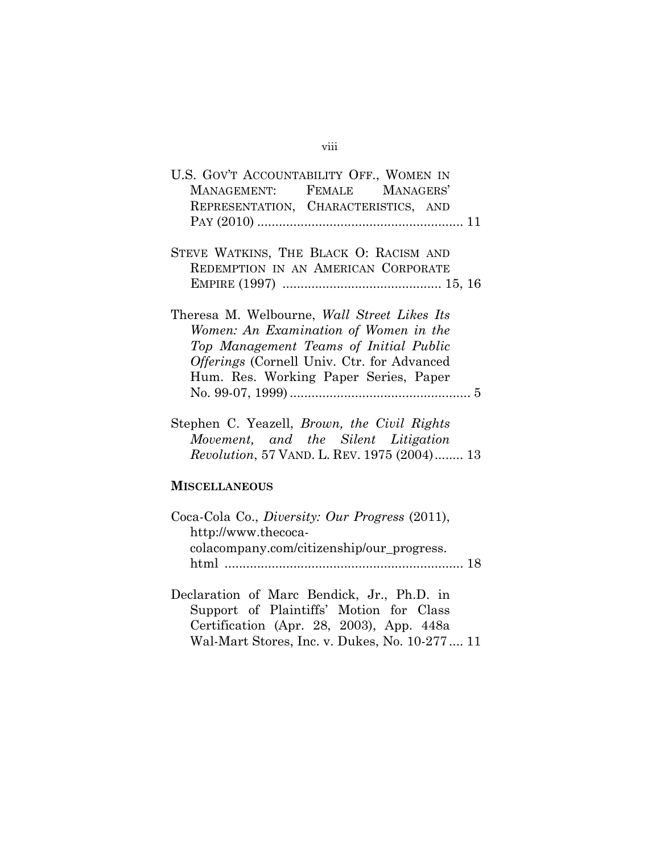### viii

| U.S. GOV'T ACCOUNTABILITY OFF., WOMEN IN<br>MANAGEMENT: FEMALE MANAGERS'<br>REPRESENTATION, CHARACTERISTICS, AND                                                                                                      |
|-----------------------------------------------------------------------------------------------------------------------------------------------------------------------------------------------------------------------|
| STEVE WATKINS, THE BLACK O: RACISM AND<br>REDEMPTION IN AN AMERICAN CORPORATE                                                                                                                                         |
| Theresa M. Welbourne, Wall Street Likes Its<br>Women: An Examination of Women in the<br>Top Management Teams of Initial Public<br>Offerings (Cornell Univ. Ctr. for Advanced<br>Hum. Res. Working Paper Series, Paper |
| Stephen C. Yeazell, <i>Brown</i> , the Civil Rights<br>Movement, and the Silent Litigation<br><i>Revolution</i> , 57 VAND. L. REV. 1975 (2004) 13                                                                     |
| <b>MISCELLANEOUS</b>                                                                                                                                                                                                  |
| Coca-Cola Co., <i>Diversity: Our Progress</i> (2011),<br>http://www.thecoca-<br>colacompany.com/citizenship/our_progress.                                                                                             |
| Declaration of Marc Bendick, Jr., Ph.D. in                                                                                                                                                                            |

Support of Plaintiffs' Motion for Class Certification (Apr. 28, 2003), App. 448a Wal-Mart Stores, Inc. v. Dukes, No. 10-277 .... 11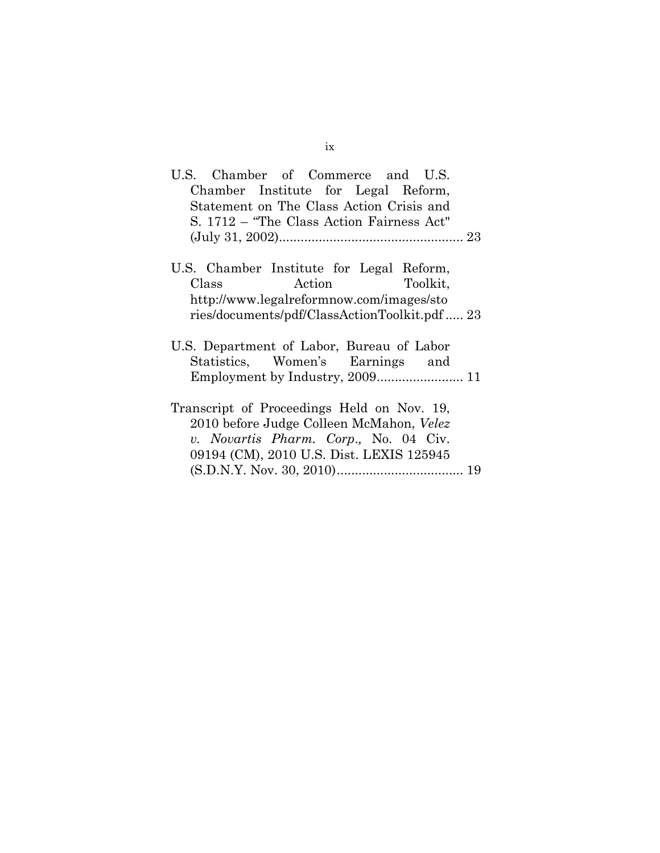| U.S. Chamber of Commerce and U.S.            |
|----------------------------------------------|
| Chamber Institute for Legal Reform,          |
| Statement on The Class Action Crisis and     |
| S. 1712 – "The Class Action Fairness Act"    |
|                                              |
|                                              |
| U.S. Chamber Institute for Legal Reform,     |
| Action Toolkit,<br>Class                     |
| http://www.legalreformnow.com/images/sto     |
| ries/documents/pdf/ClassActionToolkit.pdf 23 |
|                                              |
| U.S. Department of Labor, Bureau of Labor    |
| Statistics, Women's Earnings and             |
|                                              |
|                                              |
| Transcript of Proceedings Held on Nov. 19,   |
| 2010 before Judge Colleen McMahon, Velez     |
| v. Novartis Pharm. Corp., No. 04 Civ.        |
| 09194 (CM), 2010 U.S. Dist. LEXIS 125945     |
|                                              |
|                                              |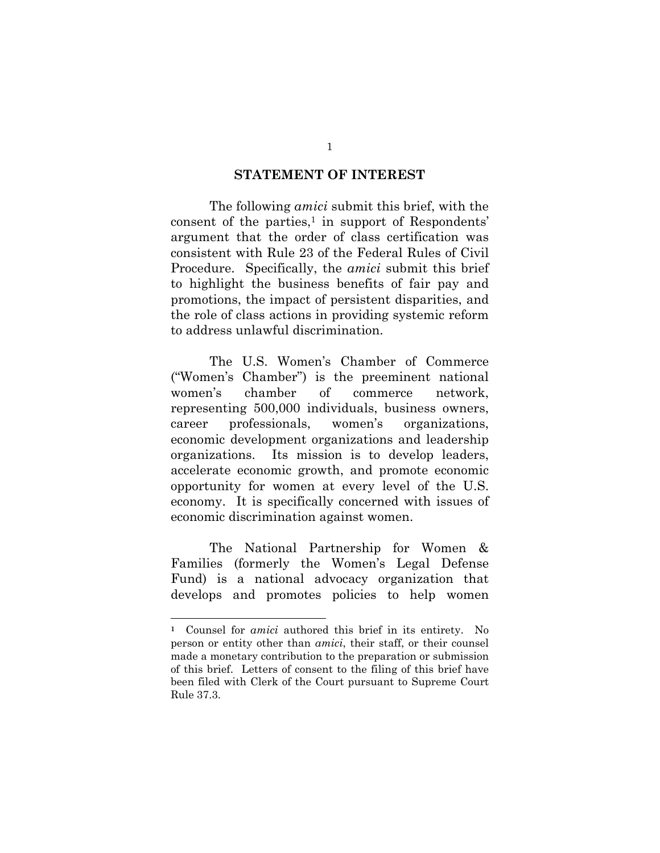### **STATEMENT OF INTEREST**

 The following *amici* submit this brief, with the consent of the parties, $\frac{1}{1}$  in support of Respondents' argument that the order of class certification was consistent with Rule 23 of the Federal Rules of Civil Procedure. Specifically, the *amici* submit this brief to highlight the business benefits of fair pay and promotions, the impact of persistent disparities, and the role of class actions in providing systemic reform to address unlawful discrimination.

The U.S. Women's Chamber of Commerce ("Women's Chamber") is the preeminent national women's chamber of commerce network, representing 500,000 individuals, business owners, career professionals, women's organizations, economic development organizations and leadership organizations. Its mission is to develop leaders, accelerate economic growth, and promote economic opportunity for women at every level of the U.S. economy. It is specifically concerned with issues of economic discrimination against women.

 The National Partnership for Women & Families (formerly the Women's Legal Defense Fund) is a national advocacy organization that develops and promotes policies to help women

**<sup>1</sup>** Counsel for *amici* authored this brief in its entirety. No person or entity other than *amici*, their staff, or their counsel made a monetary contribution to the preparation or submission of this brief. Letters of consent to the filing of this brief have been filed with Clerk of the Court pursuant to Supreme Court Rule 37.3.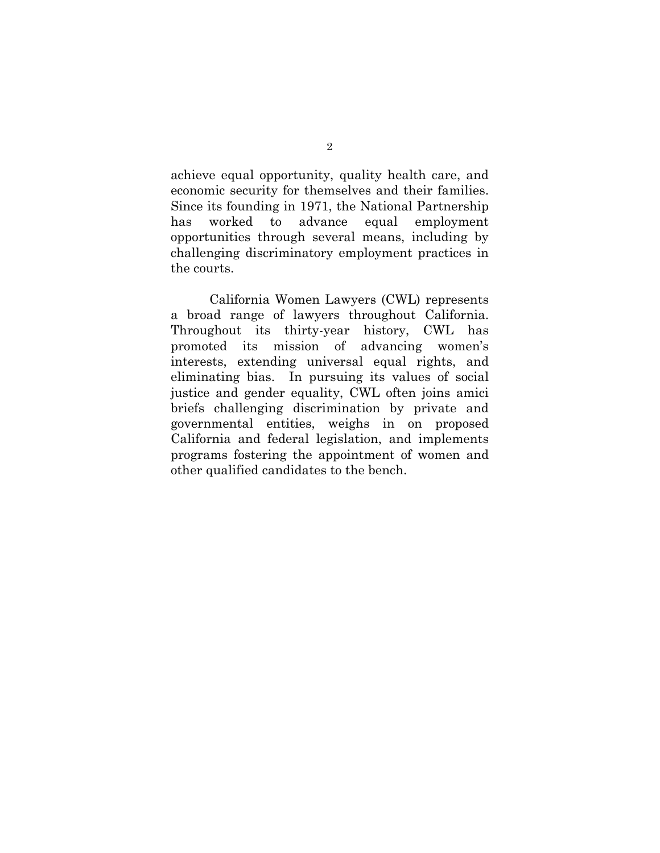achieve equal opportunity, quality health care, and economic security for themselves and their families. Since its founding in 1971, the National Partnership has worked to advance equal employment opportunities through several means, including by challenging discriminatory employment practices in the courts.

 California Women Lawyers (CWL) represents a broad range of lawyers throughout California. Throughout its thirty-year history, CWL has promoted its mission of advancing women's interests, extending universal equal rights, and eliminating bias. In pursuing its values of social justice and gender equality, CWL often joins amici briefs challenging discrimination by private and governmental entities, weighs in on proposed California and federal legislation, and implements programs fostering the appointment of women and other qualified candidates to the bench.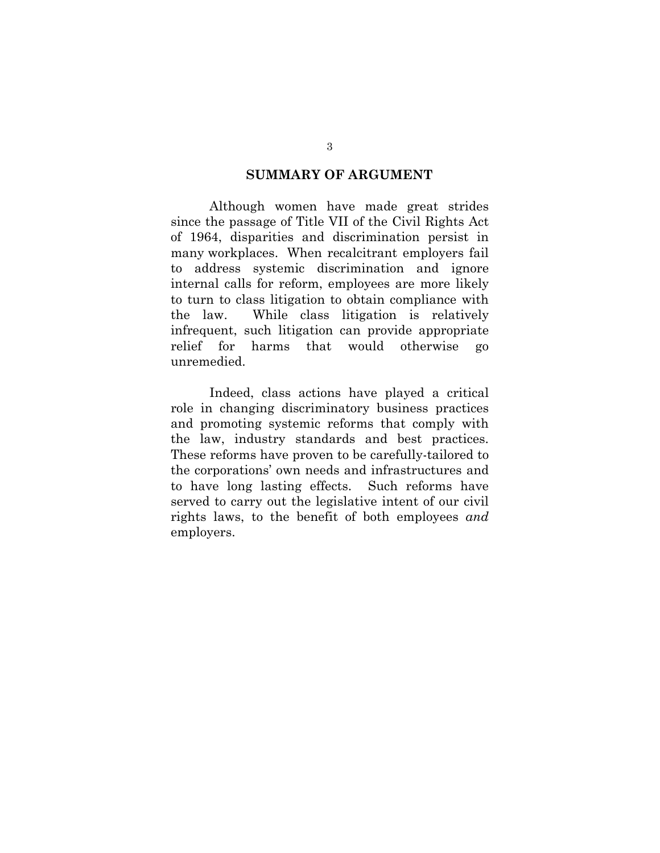### **SUMMARY OF ARGUMENT**

 Although women have made great strides since the passage of Title VII of the Civil Rights Act of 1964, disparities and discrimination persist in many workplaces. When recalcitrant employers fail to address systemic discrimination and ignore internal calls for reform, employees are more likely to turn to class litigation to obtain compliance with the law. While class litigation is relatively infrequent, such litigation can provide appropriate relief for harms that would otherwise go unremedied.

Indeed, class actions have played a critical role in changing discriminatory business practices and promoting systemic reforms that comply with the law, industry standards and best practices. These reforms have proven to be carefully-tailored to the corporations' own needs and infrastructures and to have long lasting effects. Such reforms have served to carry out the legislative intent of our civil rights laws, to the benefit of both employees *and* employers.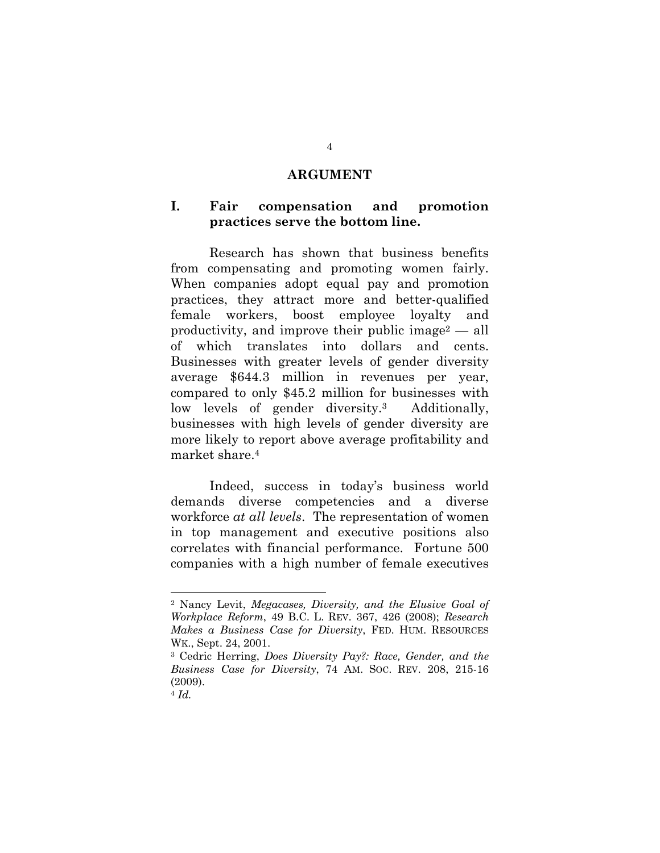#### **ARGUMENT**

### **I. Fair compensation and promotion practices serve the bottom line.**

Research has shown that business benefits from compensating and promoting women fairly. When companies adopt equal pay and promotion practices, they attract more and better-qualified female workers, boost employee loyalty and productivity, and improve their public image<sup>2</sup> — all of which translates into dollars and cents. Businesses with greater levels of gender diversity average \$644.3 million in revenues per year, compared to only \$45.2 million for businesses with low levels of gender diversity.3 Additionally, businesses with high levels of gender diversity are more likely to report above average profitability and market share.4

Indeed, success in today's business world demands diverse competencies and a diverse workforce *at all levels*. The representation of women in top management and executive positions also correlates with financial performance. Fortune 500 companies with a high number of female executives

<sup>2</sup> Nancy Levit, *Megacases, Diversity, and the Elusive Goal of Workplace Reform*, 49 B.C. L. REV. 367, 426 (2008); *Research Makes a Business Case for Diversity*, FED. HUM. RESOURCES WK., Sept. 24, 2001.

<sup>3</sup> Cedric Herring, *Does Diversity Pay?: Race, Gender, and the Business Case for Diversity*, 74 AM. SOC. REV. 208, 215-16 (2009).

<sup>4</sup> *Id.*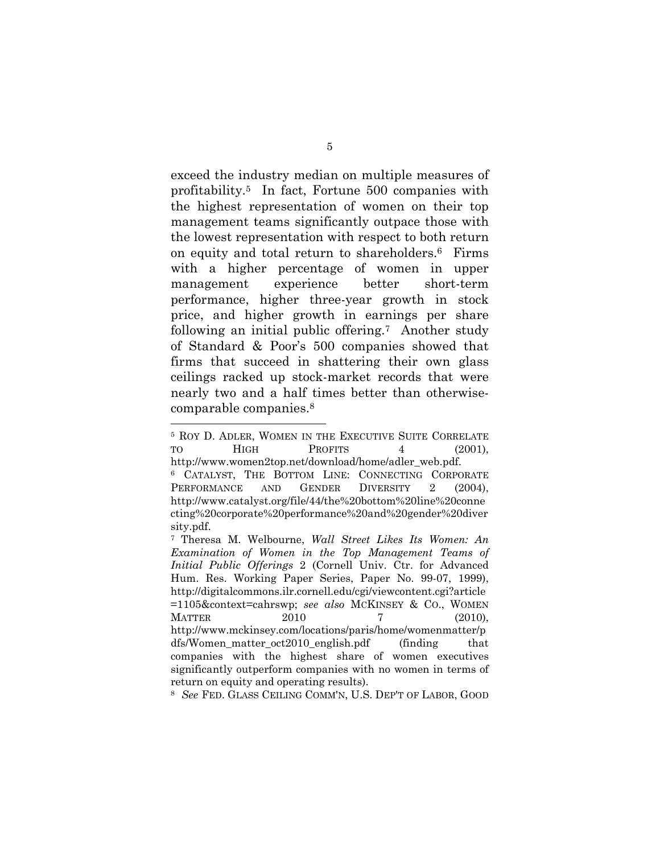exceed the industry median on multiple measures of profitability.5 In fact, Fortune 500 companies with the highest representation of women on their top management teams significantly outpace those with the lowest representation with respect to both return on equity and total return to shareholders.6 Firms with a higher percentage of women in upper management experience better short-term performance, higher three-year growth in stock price, and higher growth in earnings per share following an initial public offering.7 Another study of Standard & Poor's 500 companies showed that firms that succeed in shattering their own glass ceilings racked up stock-market records that were nearly two and a half times better than otherwisecomparable companies.8

l

8 *See* FED. GLASS CEILING COMM'N, U.S. DEP'T OF LABOR, GOOD

<sup>5</sup> ROY D. ADLER, WOMEN IN THE EXECUTIVE SUITE CORRELATE TO HIGH PROFITS 4 (2001), http://www.women2top.net/download/home/adler\_web.pdf. 6 CATALYST, THE BOTTOM LINE: CONNECTING CORPORATE PERFORMANCE AND GENDER DIVERSITY 2 (2004). http://www.catalyst.org/file/44/the%20bottom%20line%20conne cting%20corporate%20performance%20and%20gender%20diver sity.pdf.

<sup>7</sup> Theresa M. Welbourne, *Wall Street Likes Its Women: An Examination of Women in the Top Management Teams of Initial Public Offerings* 2 (Cornell Univ. Ctr. for Advanced Hum. Res. Working Paper Series, Paper No. 99-07, 1999), http://digitalcommons.ilr.cornell.edu/cgi/viewcontent.cgi?article =1105&context=cahrswp; *see also* MCKINSEY & CO., WOMEN MATTER 2010 7 (2010), http://www.mckinsey.com/locations/paris/home/womenmatter/p dfs/Women\_matter\_oct2010\_english.pdf (finding that companies with the highest share of women executives significantly outperform companies with no women in terms of return on equity and operating results).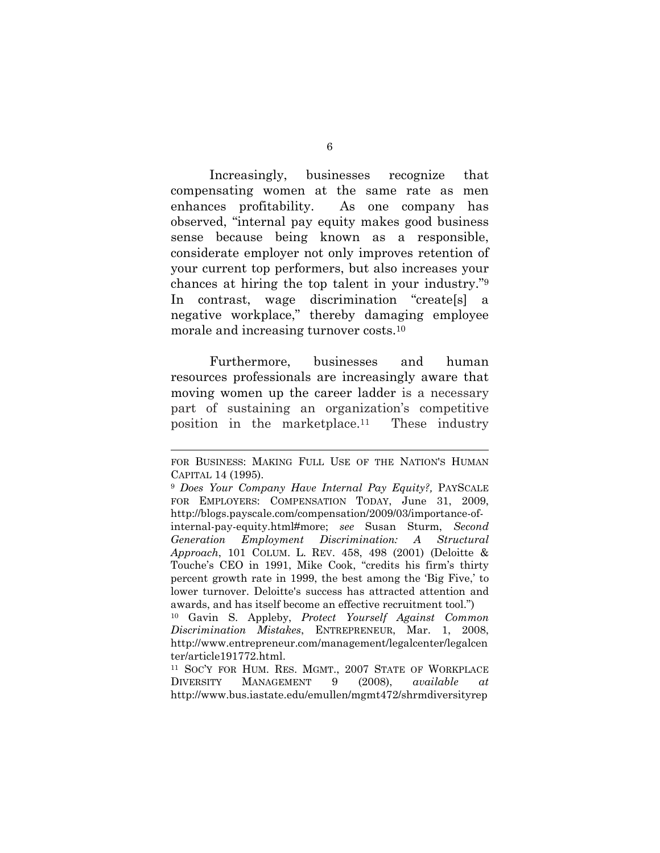Increasingly, businesses recognize that compensating women at the same rate as men enhances profitability. As one company has observed, "internal pay equity makes good business sense because being known as a responsible, considerate employer not only improves retention of your current top performers, but also increases your chances at hiring the top talent in your industry."9 In contrast, wage discrimination "create[s] a negative workplace," thereby damaging employee morale and increasing turnover costs.10

Furthermore, businesses and human resources professionals are increasingly aware that moving women up the career ladder is a necessary part of sustaining an organization's competitive position in the marketplace.11 These industry

FOR BUSINESS: MAKING FULL USE OF THE NATION'S HUMAN CAPITAL 14 (1995).

<sup>9</sup> *Does Your Company Have Internal Pay Equity?,* PAYSCALE FOR EMPLOYERS: COMPENSATION TODAY, June 31, 2009, http://blogs.payscale.com/compensation/2009/03/importance-ofinternal-pay-equity.html#more; *see* Susan Sturm, *Second Generation Employment Discrimination: A Structural Approach*, 101 COLUM. L. REV. 458, 498 (2001) (Deloitte & Touche's CEO in 1991, Mike Cook, "credits his firm's thirty percent growth rate in 1999, the best among the 'Big Five,' to lower turnover. Deloitte's success has attracted attention and awards, and has itself become an effective recruitment tool.")

<sup>10</sup> Gavin S. Appleby, *Protect Yourself Against Common Discrimination Mistakes*, ENTREPRENEUR, Mar. 1, 2008, http://www.entrepreneur.com/management/legalcenter/legalcen ter/article191772.html.

<sup>11</sup> SOC'Y FOR HUM. RES. MGMT., 2007 STATE OF WORKPLACE DIVERSITY MANAGEMENT 9 (2008), *available at* http://www.bus.iastate.edu/emullen/mgmt472/shrmdiversityrep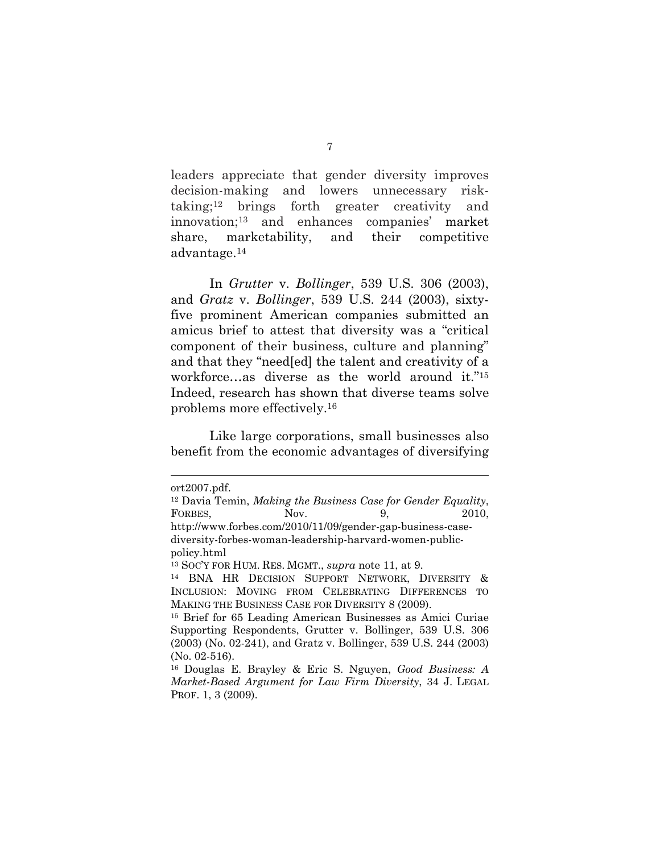leaders appreciate that gender diversity improves decision-making and lowers unnecessary risktaking;12 brings forth greater creativity and innovation;13 and enhances companies' market share, marketability, and their competitive advantage.14

In *Grutter* v. *Bollinger*, 539 U.S. 306 (2003), and *Gratz* v. *Bollinger*, 539 U.S. 244 (2003), sixtyfive prominent American companies submitted an amicus brief to attest that diversity was a "critical component of their business, culture and planning" and that they "need[ed] the talent and creativity of a workforce…as diverse as the world around it."15 Indeed, research has shown that diverse teams solve problems more effectively.16

Like large corporations, small businesses also benefit from the economic advantages of diversifying

ort2007.pdf.

<sup>12</sup> Davia Temin, *Making the Business Case for Gender Equality*, FORBES, Nov. 9, 2010, http://www.forbes.com/2010/11/09/gender-gap-business-casediversity-forbes-woman-leadership-harvard-women-publicpolicy.html

<sup>&</sup>lt;sup>13</sup> Soc'y for Hum. Res. MGMT., *supra* note 11, at 9.<br><sup>14</sup> BNA HR DECISION SUPPORT NETWORK, DIVERSITY & INCLUSION: MOVING FROM CELEBRATING DIFFERENCES TO MAKING THE BUSINESS CASE FOR DIVERSITY 8 (2009).

<sup>15</sup> Brief for 65 Leading American Businesses as Amici Curiae Supporting Respondents, Grutter v. Bollinger, 539 U.S. 306 (2003) (No. 02-241), and Gratz v. Bollinger, 539 U.S. 244 (2003) (No. 02-516).

<sup>16</sup> Douglas E. Brayley & Eric S. Nguyen, *Good Business: A Market-Based Argument for Law Firm Diversity*, 34 J. LEGAL PROF. 1, 3 (2009).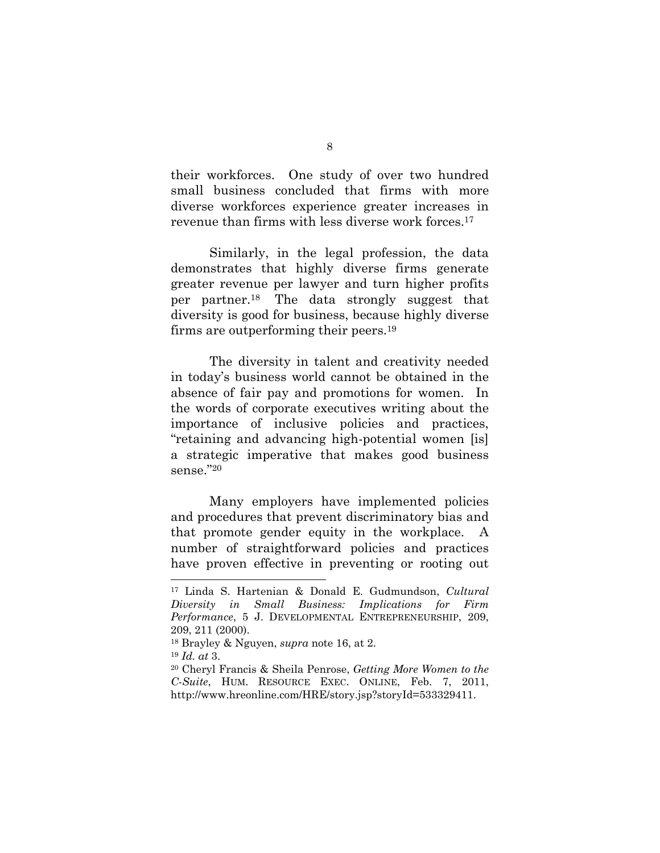their workforces. One study of over two hundred small business concluded that firms with more diverse workforces experience greater increases in revenue than firms with less diverse work forces.17

Similarly, in the legal profession, the data demonstrates that highly diverse firms generate greater revenue per lawyer and turn higher profits per partner.18 The data strongly suggest that diversity is good for business, because highly diverse firms are outperforming their peers.19

The diversity in talent and creativity needed in today's business world cannot be obtained in the absence of fair pay and promotions for women. In the words of corporate executives writing about the importance of inclusive policies and practices, "retaining and advancing high-potential women [is] a strategic imperative that makes good business sense."20

Many employers have implemented policies and procedures that prevent discriminatory bias and that promote gender equity in the workplace. A number of straightforward policies and practices have proven effective in preventing or rooting out

<sup>17</sup> Linda S. Hartenian & Donald E. Gudmundson, *Cultural Diversity in Small Business: Implications for Firm Performance*, 5 J. DEVELOPMENTAL ENTREPRENEURSHIP, 209, 209, 211 (2000).

<sup>18</sup> Brayley & Nguyen, *supra* note 16, at 2.

<sup>19</sup> *Id. at* 3.

<sup>20</sup> Cheryl Francis & Sheila Penrose, *Getting More Women to the C-Suite*, HUM. RESOURCE EXEC. ONLINE, Feb. 7, 2011, http://www.hreonline.com/HRE/story.jsp?storyId=533329411.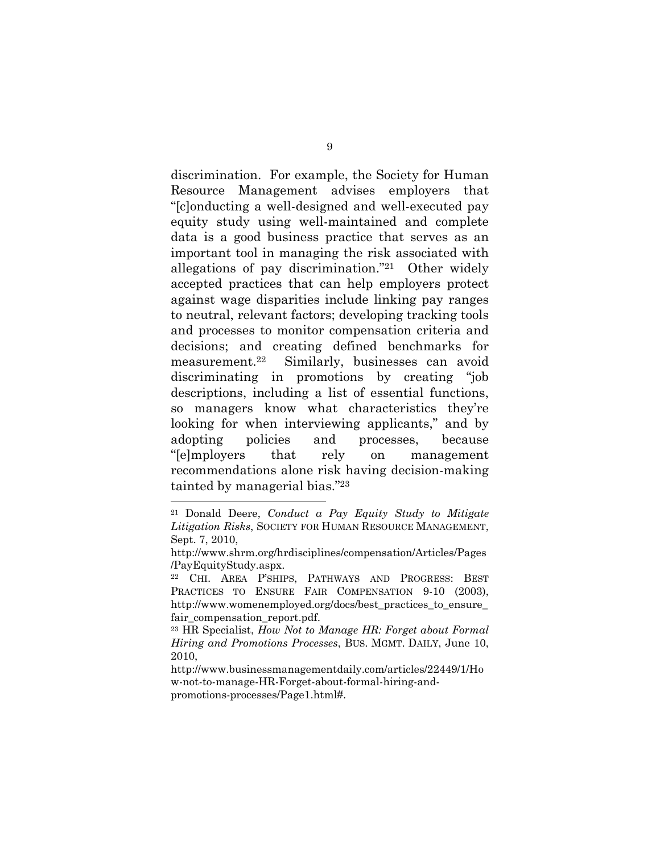discrimination. For example, the Society for Human Resource Management advises employers that "[c]onducting a well-designed and well-executed pay equity study using well-maintained and complete data is a good business practice that serves as an important tool in managing the risk associated with allegations of pay discrimination."21 Other widely accepted practices that can help employers protect against wage disparities include linking pay ranges to neutral, relevant factors; developing tracking tools and processes to monitor compensation criteria and decisions; and creating defined benchmarks for measurement.22 Similarly, businesses can avoid discriminating in promotions by creating "job descriptions, including a list of essential functions, so managers know what characteristics they're looking for when interviewing applicants," and by adopting policies and processes, because "[e]mployers that rely on management recommendations alone risk having decision-making tainted by managerial bias."23

<sup>21</sup> Donald Deere, *Conduct a Pay Equity Study to Mitigate Litigation Risks*, SOCIETY FOR HUMAN RESOURCE MANAGEMENT, Sept. 7, 2010,

http://www.shrm.org/hrdisciplines/compensation/Articles/Pages /PayEquityStudy.aspx.

<sup>22</sup> CHI. AREA P'SHIPS, PATHWAYS AND PROGRESS: BEST PRACTICES TO ENSURE FAIR COMPENSATION 9-10 (2003), http://www.womenemployed.org/docs/best\_practices\_to\_ensure\_ fair compensation report.pdf.

<sup>23</sup> HR Specialist, *How Not to Manage HR: Forget about Formal Hiring and Promotions Processes*, BUS. MGMT. DAILY, June 10, 2010,

http://www.businessmanagementdaily.com/articles/22449/1/Ho w-not-to-manage-HR-Forget-about-formal-hiring-andpromotions-processes/Page1.html#.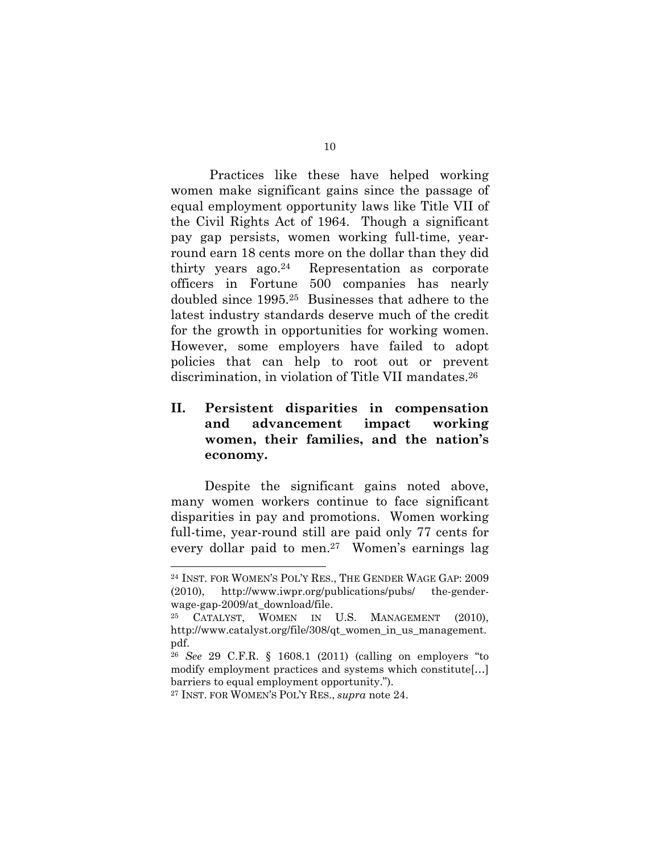Practices like these have helped working women make significant gains since the passage of equal employment opportunity laws like Title VII of the Civil Rights Act of 1964. Though a significant pay gap persists, women working full-time, yearround earn 18 cents more on the dollar than they did thirty years ago.24 Representation as corporate officers in Fortune 500 companies has nearly doubled since 1995.25 Businesses that adhere to the latest industry standards deserve much of the credit for the growth in opportunities for working women. However, some employers have failed to adopt policies that can help to root out or prevent discrimination, in violation of Title VII mandates.26

# **II. Persistent disparities in compensation and advancement impact working women, their families, and the nation's economy.**

Despite the significant gains noted above, many women workers continue to face significant disparities in pay and promotions. Women working full-time, year-round still are paid only 77 cents for every dollar paid to men.27 Women's earnings lag

<sup>24</sup> INST. FOR WOMEN'S POL'Y RES., THE GENDER WAGE GAP: 2009 (2010), http://www.iwpr.org/publications/pubs/ the-genderwage-gap-2009/at\_download/file.

<sup>25</sup> CATALYST, WOMEN IN U.S. MANAGEMENT (2010), http://www.catalyst.org/file/308/qt women in us management. pdf.

<sup>26</sup> *See* 29 C.F.R. § 1608.1 (2011) (calling on employers "to modify employment practices and systems which constitute[…] barriers to equal employment opportunity.").

<sup>27</sup> INST. FOR WOMEN'S POL'Y RES., *supra* note 24.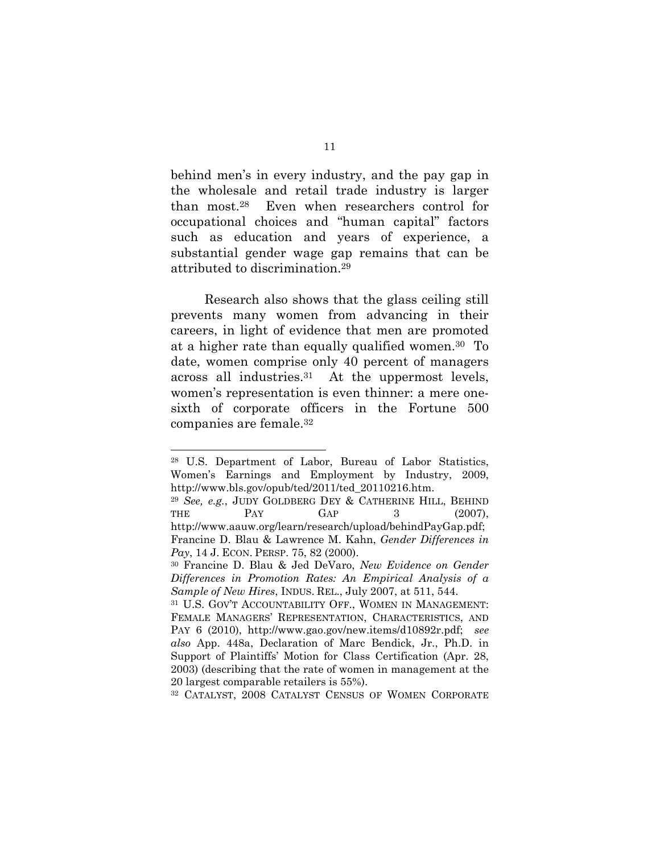behind men's in every industry, and the pay gap in the wholesale and retail trade industry is larger than most.28 Even when researchers control for occupational choices and "human capital" factors such as education and years of experience, a substantial gender wage gap remains that can be attributed to discrimination.29

Research also shows that the glass ceiling still prevents many women from advancing in their careers, in light of evidence that men are promoted at a higher rate than equally qualified women.30 To date, women comprise only 40 percent of managers across all industries.31 At the uppermost levels, women's representation is even thinner: a mere onesixth of corporate officers in the Fortune 500 companies are female.32

<sup>28</sup> U.S. Department of Labor, Bureau of Labor Statistics, Women's Earnings and Employment by Industry, 2009, http://www.bls.gov/opub/ted/2011/ted\_20110216.htm.

<sup>29</sup> *See, e.g.*, JUDY GOLDBERG DEY & CATHERINE HILL, BEHIND THE  $PAY$   $GAP$  3 (2007), http://www.aauw.org/learn/research/upload/behindPayGap.pdf; Francine D. Blau & Lawrence M. Kahn, *Gender Differences in Pay*, 14 J. ECON. PERSP. 75, 82 (2000).

<sup>30</sup> Francine D. Blau & Jed DeVaro, *New Evidence on Gender Differences in Promotion Rates: An Empirical Analysis of a Sample of New Hires*, INDUS. REL., July 2007, at 511, 544.

<sup>31</sup> U.S. GOV'T ACCOUNTABILITY OFF., WOMEN IN MANAGEMENT: FEMALE MANAGERS' REPRESENTATION, CHARACTERISTICS, AND PAY 6 (2010), http://www.gao.gov/new.items/d10892r.pdf; *see also* App. 448a, Declaration of Marc Bendick, Jr., Ph.D. in Support of Plaintiffs' Motion for Class Certification (Apr. 28, 2003) (describing that the rate of women in management at the 20 largest comparable retailers is 55%).

<sup>32</sup> CATALYST, 2008 CATALYST CENSUS OF WOMEN CORPORATE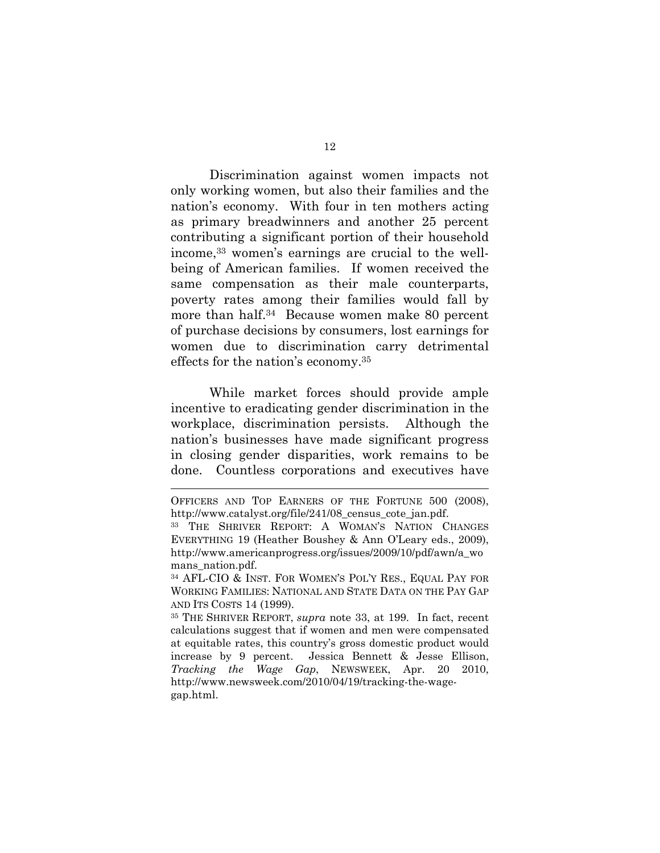Discrimination against women impacts not only working women, but also their families and the nation's economy. With four in ten mothers acting as primary breadwinners and another 25 percent contributing a significant portion of their household income,33 women's earnings are crucial to the wellbeing of American families. If women received the same compensation as their male counterparts, poverty rates among their families would fall by more than half.34 Because women make 80 percent of purchase decisions by consumers, lost earnings for women due to discrimination carry detrimental effects for the nation's economy.35

While market forces should provide ample incentive to eradicating gender discrimination in the workplace, discrimination persists. Although the nation's businesses have made significant progress in closing gender disparities, work remains to be done. Countless corporations and executives have

OFFICERS AND TOP EARNERS OF THE FORTUNE 500 (2008), http://www.catalyst.org/file/241/08\_census\_cote\_jan.pdf.

<sup>33</sup> THE SHRIVER REPORT: A WOMAN'S NATION CHANGES EVERYTHING 19 (Heather Boushey & Ann O'Leary eds., 2009), http://www.americanprogress.org/issues/2009/10/pdf/awn/a\_wo mans nation.pdf.

<sup>34</sup> AFL-CIO & INST. FOR WOMEN'S POL'Y RES., EQUAL PAY FOR WORKING FAMILIES: NATIONAL AND STATE DATA ON THE PAY GAP AND ITS COSTS 14 (1999).

<sup>35</sup> THE SHRIVER REPORT, *supra* note 33, at 199. In fact, recent calculations suggest that if women and men were compensated at equitable rates, this country's gross domestic product would increase by 9 percent. Jessica Bennett & Jesse Ellison, *Tracking the Wage Gap*, NEWSWEEK, Apr. 20 2010, http://www.newsweek.com/2010/04/19/tracking-the-wagegap.html.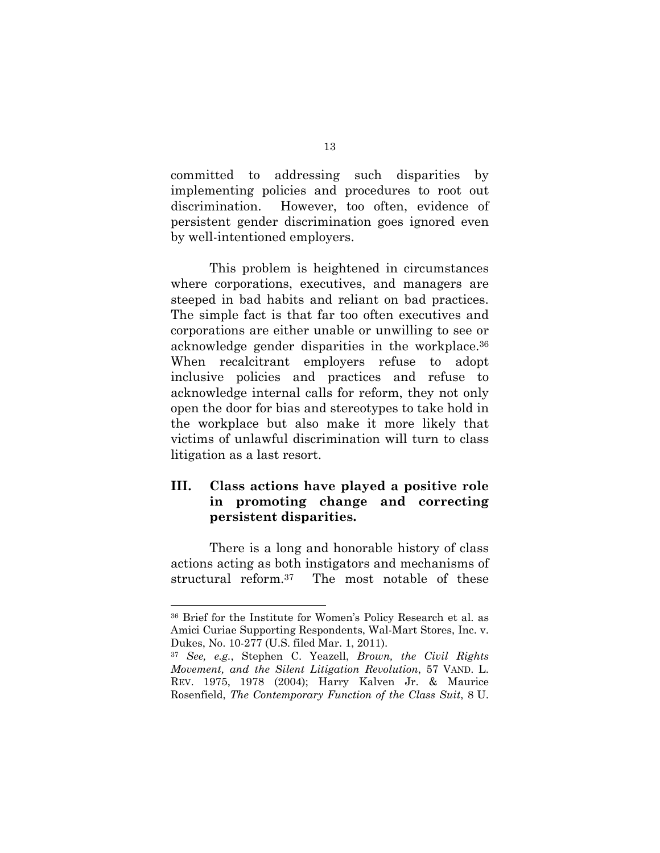committed to addressing such disparities by implementing policies and procedures to root out discrimination. However, too often, evidence of persistent gender discrimination goes ignored even by well-intentioned employers.

This problem is heightened in circumstances where corporations, executives, and managers are steeped in bad habits and reliant on bad practices. The simple fact is that far too often executives and corporations are either unable or unwilling to see or acknowledge gender disparities in the workplace.36 When recalcitrant employers refuse to adopt inclusive policies and practices and refuse to acknowledge internal calls for reform, they not only open the door for bias and stereotypes to take hold in the workplace but also make it more likely that victims of unlawful discrimination will turn to class litigation as a last resort.

# **III. Class actions have played a positive role in promoting change and correcting persistent disparities.**

There is a long and honorable history of class actions acting as both instigators and mechanisms of structural reform.37 The most notable of these

<sup>36</sup> Brief for the Institute for Women's Policy Research et al. as Amici Curiae Supporting Respondents, Wal-Mart Stores, Inc. v. Dukes, No. 10-277 (U.S. filed Mar. 1, 2011).

<sup>37</sup> *See, e.g.*, Stephen C. Yeazell, *Brown, the Civil Rights Movement, and the Silent Litigation Revolution*, 57 VAND. L. REV. 1975, 1978 (2004); Harry Kalven Jr. & Maurice Rosenfield, *The Contemporary Function of the Class Suit*, 8 U.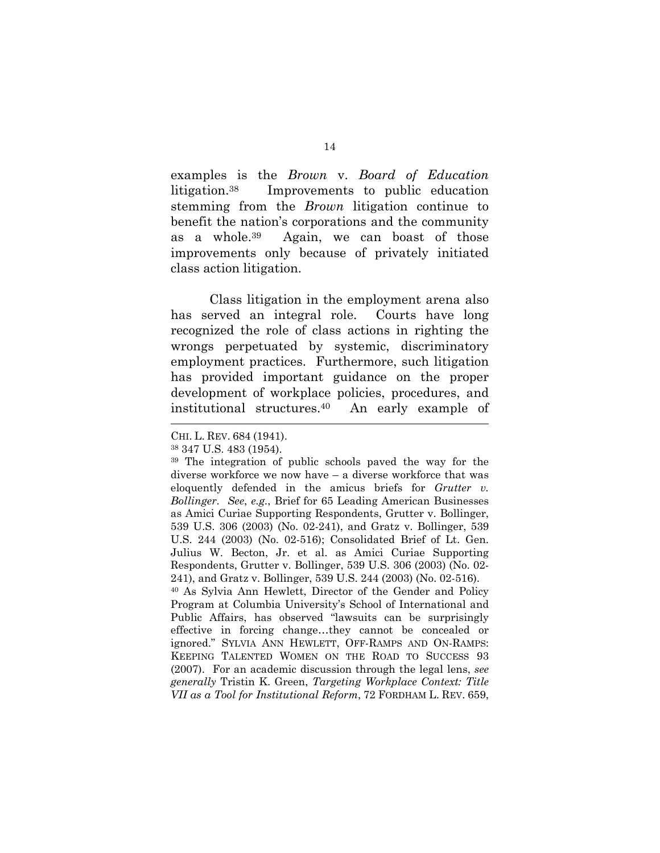examples is the *Brown* v. *Board of Education* litigation.38 Improvements to public education stemming from the *Brown* litigation continue to benefit the nation's corporations and the community as a whole.39 Again, we can boast of those improvements only because of privately initiated class action litigation.

Class litigation in the employment arena also has served an integral role. Courts have long recognized the role of class actions in righting the wrongs perpetuated by systemic, discriminatory employment practices. Furthermore, such litigation has provided important guidance on the proper development of workplace policies, procedures, and institutional structures.40 An early example of

CHI. L. REV. 684 (1941).

<sup>38 347</sup> U.S. 483 (1954).

<sup>39</sup> The integration of public schools paved the way for the diverse workforce we now have – a diverse workforce that was eloquently defended in the amicus briefs for *Grutter v. Bollinger*. *See*, *e.g.*, Brief for 65 Leading American Businesses as Amici Curiae Supporting Respondents, Grutter v. Bollinger, 539 U.S. 306 (2003) (No. 02-241), and Gratz v. Bollinger, 539 U.S. 244 (2003) (No. 02-516); Consolidated Brief of Lt. Gen. Julius W. Becton, Jr. et al. as Amici Curiae Supporting Respondents, Grutter v. Bollinger, 539 U.S. 306 (2003) (No. 02- 241), and Gratz v. Bollinger, 539 U.S. 244 (2003) (No. 02-516). 40 As Sylvia Ann Hewlett, Director of the Gender and Policy Program at Columbia University's School of International and Public Affairs, has observed "lawsuits can be surprisingly effective in forcing change…they cannot be concealed or ignored." SYLVIA ANN HEWLETT, OFF-RAMPS AND ON-RAMPS: KEEPING TALENTED WOMEN ON THE ROAD TO SUCCESS 93 (2007). For an academic discussion through the legal lens, *see generally* Tristin K. Green, *Targeting Workplace Context: Title VII as a Tool for Institutional Reform*, 72 FORDHAM L. REV. 659,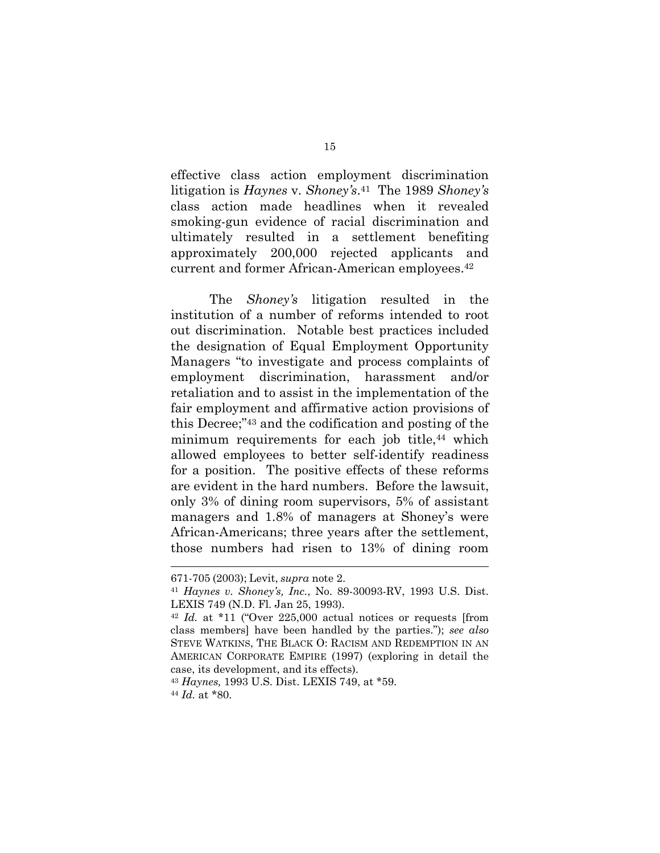effective class action employment discrimination litigation is *Haynes* v. *Shoney's*.41 The 1989 *Shoney's* class action made headlines when it revealed smoking-gun evidence of racial discrimination and ultimately resulted in a settlement benefiting approximately 200,000 rejected applicants and current and former African-American employees.42

The *Shoney's* litigation resulted in the institution of a number of reforms intended to root out discrimination. Notable best practices included the designation of Equal Employment Opportunity Managers "to investigate and process complaints of employment discrimination, harassment and/or retaliation and to assist in the implementation of the fair employment and affirmative action provisions of this Decree;"43 and the codification and posting of the minimum requirements for each job title,<sup>44</sup> which allowed employees to better self-identify readiness for a position. The positive effects of these reforms are evident in the hard numbers. Before the lawsuit, only 3% of dining room supervisors, 5% of assistant managers and 1.8% of managers at Shoney's were African-Americans; three years after the settlement, those numbers had risen to 13% of dining room

<sup>671-705</sup> (2003); Levit, *supra* note 2.

<sup>41</sup> *Haynes v. Shoney's, Inc.*, No. 89-30093-RV, 1993 U.S. Dist. LEXIS 749 (N.D. Fl. Jan 25, 1993).

<sup>42</sup> *Id.* at \*11 ("Over 225,000 actual notices or requests [from class members] have been handled by the parties."); *see also* STEVE WATKINS, THE BLACK O: RACISM AND REDEMPTION IN AN AMERICAN CORPORATE EMPIRE (1997) (exploring in detail the case, its development, and its effects).

<sup>43</sup> *Haynes,* 1993 U.S. Dist. LEXIS 749, at \*59. 44 *Id.* at \*80.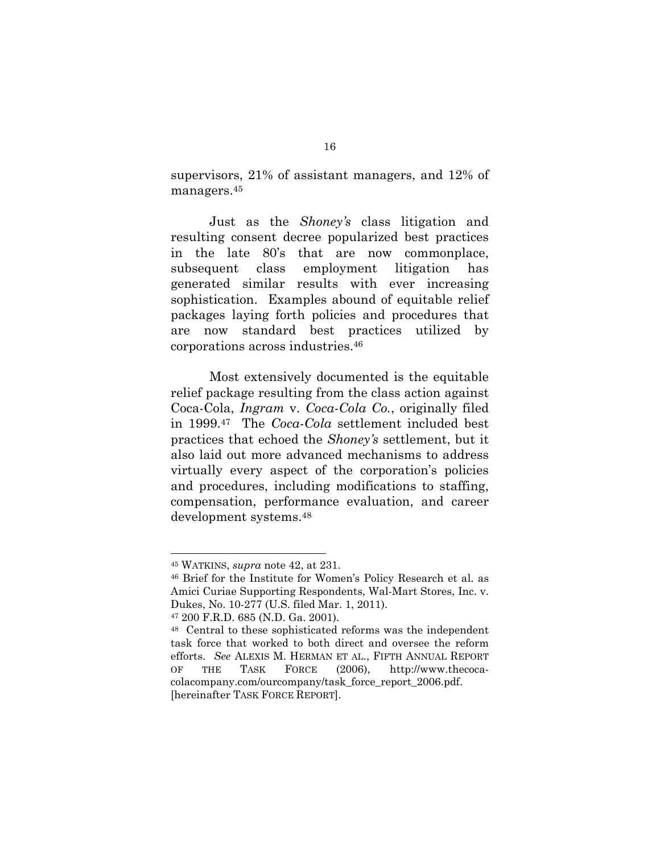supervisors, 21% of assistant managers, and 12% of managers.45

Just as the *Shoney's* class litigation and resulting consent decree popularized best practices in the late 80's that are now commonplace, subsequent class employment litigation has generated similar results with ever increasing sophistication. Examples abound of equitable relief packages laying forth policies and procedures that are now standard best practices utilized by corporations across industries.46

Most extensively documented is the equitable relief package resulting from the class action against Coca-Cola, *Ingram* v. *Coca-Cola Co.*, originally filed in 1999.47 The *Coca-Cola* settlement included best practices that echoed the *Shoney's* settlement, but it also laid out more advanced mechanisms to address virtually every aspect of the corporation's policies and procedures, including modifications to staffing, compensation, performance evaluation, and career development systems.48

<sup>45</sup> WATKINS, *supra* note 42, at 231.

<sup>46</sup> Brief for the Institute for Women's Policy Research et al. as Amici Curiae Supporting Respondents, Wal-Mart Stores, Inc. v. Dukes, No. 10-277 (U.S. filed Mar. 1, 2011).

<sup>47 200</sup> F.R.D. 685 (N.D. Ga. 2001).

<sup>48</sup> Central to these sophisticated reforms was the independent task force that worked to both direct and oversee the reform efforts. *See* ALEXIS M. HERMAN ET AL., FIFTH ANNUAL REPORT OF THE TASK FORCE (2006), http://www.thecocacolacompany.com/ourcompany/task\_force\_report\_2006.pdf. [hereinafter TASK FORCE REPORT].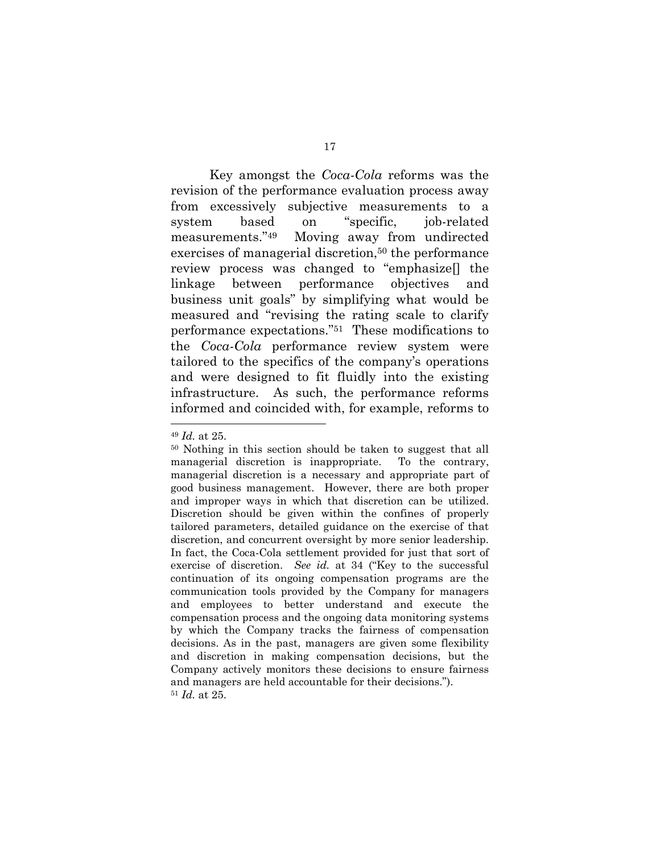Key amongst the *Coca-Cola* reforms was the revision of the performance evaluation process away from excessively subjective measurements to a system based on "specific, job-related measurements."49 Moving away from undirected exercises of managerial discretion,<sup>50</sup> the performance review process was changed to "emphasize[] the linkage between performance objectives and business unit goals" by simplifying what would be measured and "revising the rating scale to clarify performance expectations."51 These modifications to the *Coca-Cola* performance review system were tailored to the specifics of the company's operations and were designed to fit fluidly into the existing infrastructure. As such, the performance reforms informed and coincided with, for example, reforms to

<sup>49</sup> *Id.* at 25.

<sup>50</sup> Nothing in this section should be taken to suggest that all managerial discretion is inappropriate. To the contrary, managerial discretion is a necessary and appropriate part of good business management. However, there are both proper and improper ways in which that discretion can be utilized. Discretion should be given within the confines of properly tailored parameters, detailed guidance on the exercise of that discretion, and concurrent oversight by more senior leadership. In fact, the Coca-Cola settlement provided for just that sort of exercise of discretion. *See id.* at 34 ("Key to the successful continuation of its ongoing compensation programs are the communication tools provided by the Company for managers and employees to better understand and execute the compensation process and the ongoing data monitoring systems by which the Company tracks the fairness of compensation decisions. As in the past, managers are given some flexibility and discretion in making compensation decisions, but the Company actively monitors these decisions to ensure fairness and managers are held accountable for their decisions."). <sup>51</sup> *Id.* at 25.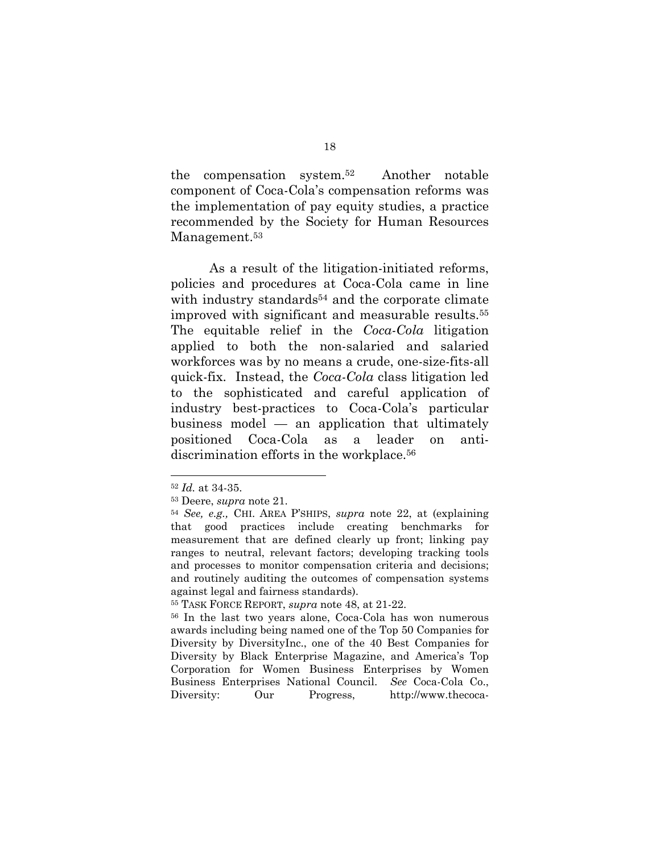the compensation system.52 Another notable component of Coca-Cola's compensation reforms was the implementation of pay equity studies, a practice recommended by the Society for Human Resources Management.<sup>53</sup>

As a result of the litigation-initiated reforms, policies and procedures at Coca-Cola came in line with industry standards<sup>54</sup> and the corporate climate improved with significant and measurable results.55 The equitable relief in the *Coca-Cola* litigation applied to both the non-salaried and salaried workforces was by no means a crude, one-size-fits-all quick-fix. Instead, the *Coca-Cola* class litigation led to the sophisticated and careful application of industry best-practices to Coca-Cola's particular business model — an application that ultimately positioned Coca-Cola as a leader on antidiscrimination efforts in the workplace.<sup>56</sup>

<sup>52</sup> *Id.* at 34-35.

<sup>53</sup> Deere, *supra* note 21.

<sup>54</sup> *See, e.g.,* CHI. AREA P'SHIPS, *supra* note 22, at (explaining that good practices include creating benchmarks for measurement that are defined clearly up front; linking pay ranges to neutral, relevant factors; developing tracking tools and processes to monitor compensation criteria and decisions; and routinely auditing the outcomes of compensation systems against legal and fairness standards).

<sup>55</sup> TASK FORCE REPORT, *supra* note 48, at 21-22.

<sup>56</sup> In the last two years alone, Coca-Cola has won numerous awards including being named one of the Top 50 Companies for Diversity by DiversityInc., one of the 40 Best Companies for Diversity by Black Enterprise Magazine, and America's Top Corporation for Women Business Enterprises by Women Business Enterprises National Council. *See* Coca-Cola Co., Diversity: Our Progress, http://www.thecoca-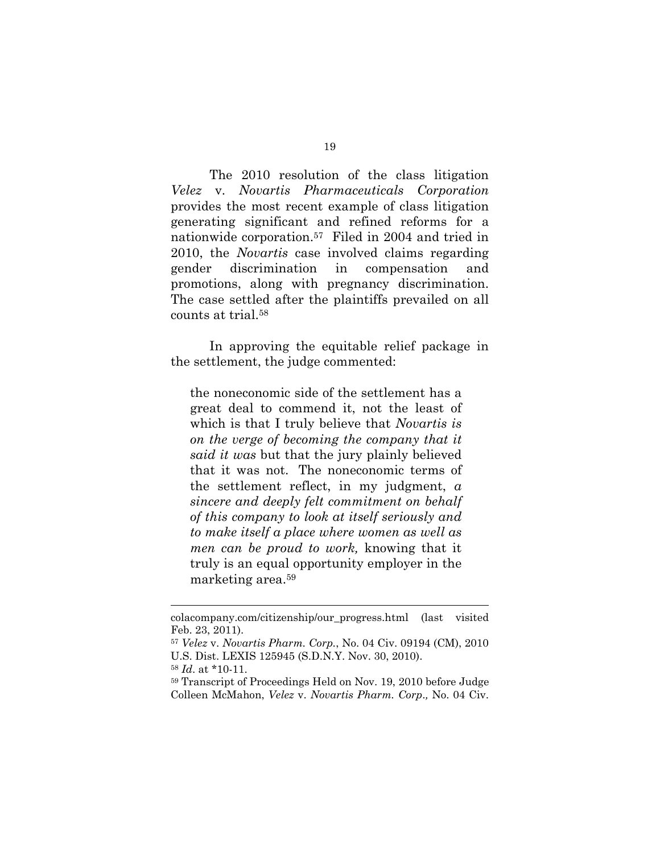The 2010 resolution of the class litigation *Velez* v. *Novartis Pharmaceuticals Corporation* provides the most recent example of class litigation generating significant and refined reforms for a nationwide corporation.57 Filed in 2004 and tried in 2010, the *Novartis* case involved claims regarding gender discrimination in compensation and promotions, along with pregnancy discrimination. The case settled after the plaintiffs prevailed on all counts at trial.58

In approving the equitable relief package in the settlement, the judge commented:

the noneconomic side of the settlement has a great deal to commend it, not the least of which is that I truly believe that *Novartis is on the verge of becoming the company that it said it was* but that the jury plainly believed that it was not. The noneconomic terms of the settlement reflect, in my judgment, *a sincere and deeply felt commitment on behalf of this company to look at itself seriously and to make itself a place where women as well as men can be proud to work,* knowing that it truly is an equal opportunity employer in the marketing area.59

colacompany.com/citizenship/our\_progress.html (last visited Feb. 23, 2011).

<sup>57</sup> *Velez* v. *Novartis Pharm. Corp.*, No. 04 Civ. 09194 (CM), 2010 U.S. Dist. LEXIS 125945 (S.D.N.Y. Nov. 30, 2010).

<sup>58</sup> *Id*. at \*10-11.

<sup>59</sup> Transcript of Proceedings Held on Nov. 19, 2010 before Judge Colleen McMahon, *Velez* v. *Novartis Pharm. Corp*.*,* No. 04 Civ.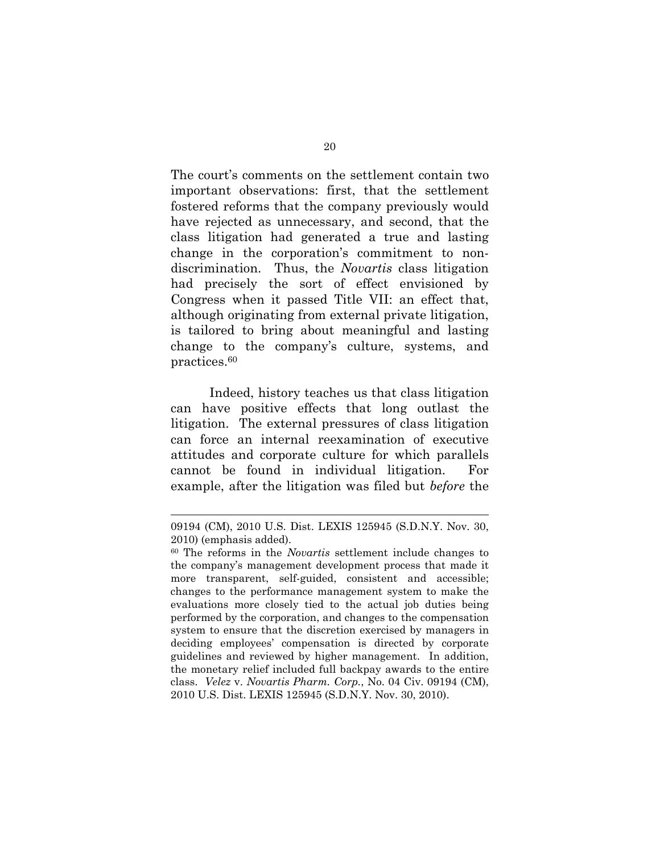The court's comments on the settlement contain two important observations: first, that the settlement fostered reforms that the company previously would have rejected as unnecessary, and second, that the class litigation had generated a true and lasting change in the corporation's commitment to nondiscrimination. Thus, the *Novartis* class litigation had precisely the sort of effect envisioned by Congress when it passed Title VII: an effect that, although originating from external private litigation, is tailored to bring about meaningful and lasting change to the company's culture, systems, and practices.60

Indeed, history teaches us that class litigation can have positive effects that long outlast the litigation. The external pressures of class litigation can force an internal reexamination of executive attitudes and corporate culture for which parallels cannot be found in individual litigation. For example, after the litigation was filed but *before* the

<sup>09194 (</sup>CM), 2010 U.S. Dist. LEXIS 125945 (S.D.N.Y. Nov. 30, 2010) (emphasis added).

<sup>60</sup> The reforms in the *Novartis* settlement include changes to the company's management development process that made it more transparent, self-guided, consistent and accessible; changes to the performance management system to make the evaluations more closely tied to the actual job duties being performed by the corporation, and changes to the compensation system to ensure that the discretion exercised by managers in deciding employees' compensation is directed by corporate guidelines and reviewed by higher management. In addition, the monetary relief included full backpay awards to the entire class. *Velez* v. *Novartis Pharm. Corp.*, No. 04 Civ. 09194 (CM), 2010 U.S. Dist. LEXIS 125945 (S.D.N.Y. Nov. 30, 2010).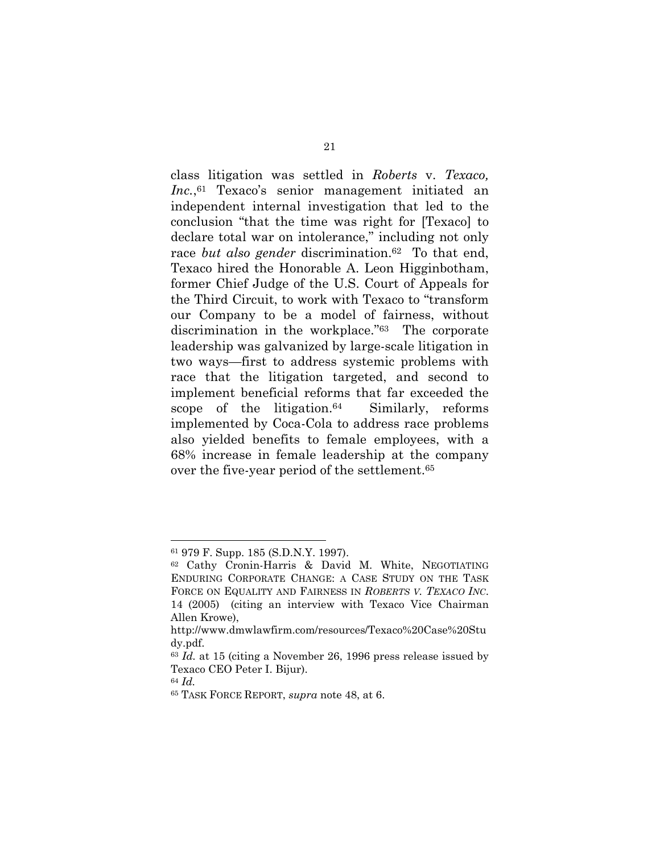class litigation was settled in *Roberts* v. *Texaco, Inc.*,61 Texaco's senior management initiated an independent internal investigation that led to the conclusion "that the time was right for [Texaco] to declare total war on intolerance," including not only race *but also gender* discrimination.<sup>62</sup> To that end, Texaco hired the Honorable A. Leon Higginbotham, former Chief Judge of the U.S. Court of Appeals for the Third Circuit, to work with Texaco to "transform our Company to be a model of fairness, without discrimination in the workplace."63 The corporate leadership was galvanized by large-scale litigation in two ways—first to address systemic problems with race that the litigation targeted, and second to implement beneficial reforms that far exceeded the scope of the litigation. $64$  Similarly, reforms implemented by Coca-Cola to address race problems also yielded benefits to female employees, with a 68% increase in female leadership at the company over the five-year period of the settlement.65

<sup>61 979</sup> F. Supp. 185 (S.D.N.Y. 1997).

<sup>62</sup> Cathy Cronin-Harris & David M. White, NEGOTIATING ENDURING CORPORATE CHANGE: A CASE STUDY ON THE TASK FORCE ON EQUALITY AND FAIRNESS IN *ROBERTS V. TEXACO INC*. 14 (2005) (citing an interview with Texaco Vice Chairman Allen Krowe),

http://www.dmwlawfirm.com/resources/Texaco%20Case%20Stu dy.pdf.

<sup>63</sup> *Id.* at 15 (citing a November 26, 1996 press release issued by Texaco CEO Peter I. Bijur).

<sup>64</sup> *Id.* 65 TASK FORCE REPORT, *supra* note 48, at 6.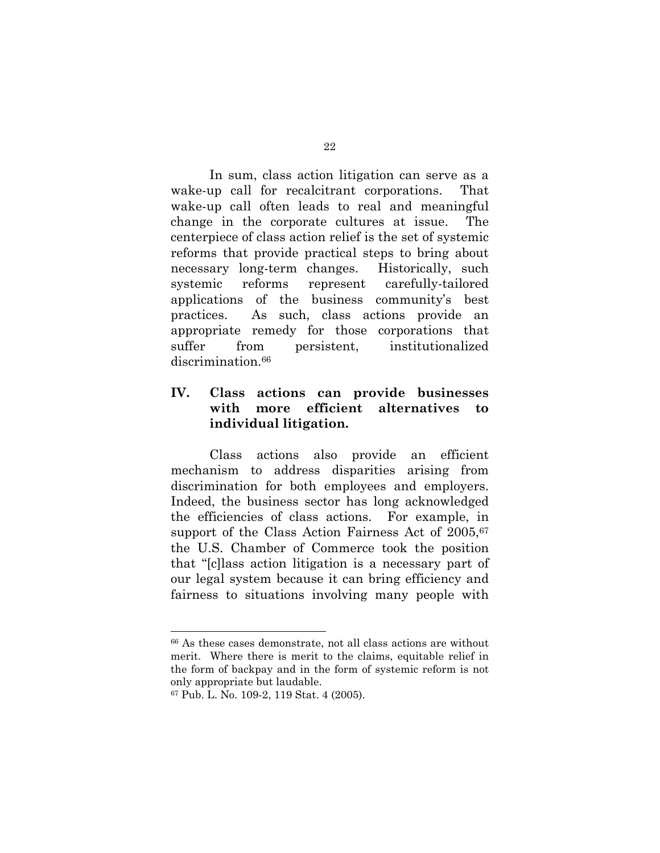In sum, class action litigation can serve as a wake-up call for recalcitrant corporations. That wake-up call often leads to real and meaningful change in the corporate cultures at issue. The centerpiece of class action relief is the set of systemic reforms that provide practical steps to bring about necessary long-term changes. Historically, such systemic reforms represent carefully-tailored applications of the business community's best practices. As such, class actions provide an appropriate remedy for those corporations that suffer from persistent, institutionalized discrimination.<sup>66</sup>

# **IV. Class actions can provide businesses with more efficient alternatives to individual litigation.**

Class actions also provide an efficient mechanism to address disparities arising from discrimination for both employees and employers. Indeed, the business sector has long acknowledged the efficiencies of class actions. For example, in support of the Class Action Fairness Act of 2005,<sup>67</sup> the U.S. Chamber of Commerce took the position that "[c]lass action litigation is a necessary part of our legal system because it can bring efficiency and fairness to situations involving many people with

<sup>66</sup> As these cases demonstrate, not all class actions are without merit. Where there is merit to the claims, equitable relief in the form of backpay and in the form of systemic reform is not only appropriate but laudable.

<sup>67</sup> Pub. L. No. 109-2, 119 Stat. 4 (2005).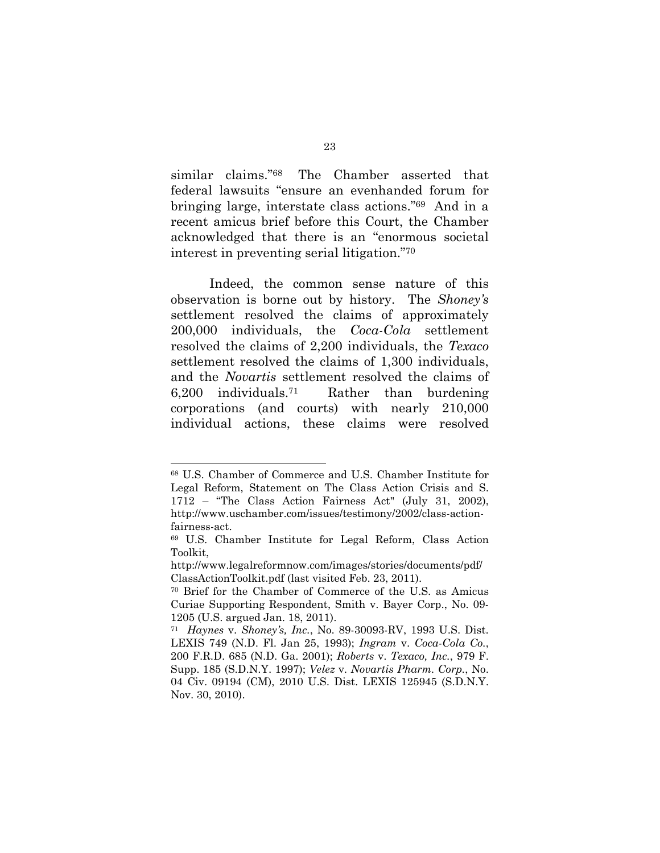similar claims."68 The Chamber asserted that federal lawsuits "ensure an evenhanded forum for bringing large, interstate class actions."69 And in a recent amicus brief before this Court, the Chamber acknowledged that there is an "enormous societal interest in preventing serial litigation."70

Indeed, the common sense nature of this observation is borne out by history. The *Shoney's* settlement resolved the claims of approximately 200,000 individuals, the *Coca-Cola* settlement resolved the claims of 2,200 individuals, the *Texaco* settlement resolved the claims of 1,300 individuals, and the *Novartis* settlement resolved the claims of  $6,200$  individuals.<sup>71</sup> Rather than burdening corporations (and courts) with nearly 210,000 individual actions, these claims were resolved

<sup>68</sup> U.S. Chamber of Commerce and U.S. Chamber Institute for Legal Reform, Statement on The Class Action Crisis and S. 1712 – "The Class Action Fairness Act" (July 31, 2002), http://www.uschamber.com/issues/testimony/2002/class-actionfairness-act.

<sup>69</sup> U.S. Chamber Institute for Legal Reform, Class Action Toolkit,

http://www.legalreformnow.com/images/stories/documents/pdf/ ClassActionToolkit.pdf (last visited Feb. 23, 2011).

<sup>70</sup> Brief for the Chamber of Commerce of the U.S. as Amicus Curiae Supporting Respondent, Smith v. Bayer Corp., No. 09- 1205 (U.S. argued Jan. 18, 2011).

<sup>71</sup> *Haynes* v. *Shoney's, Inc.*, No. 89-30093-RV, 1993 U.S. Dist. LEXIS 749 (N.D. Fl. Jan 25, 1993); *Ingram* v. *Coca-Cola Co.*, 200 F.R.D. 685 (N.D. Ga. 2001); *Roberts* v. *Texaco, Inc.*, 979 F. Supp. 185 (S.D.N.Y. 1997); *Velez* v. *Novartis Pharm. Corp.*, No. 04 Civ. 09194 (CM), 2010 U.S. Dist. LEXIS 125945 (S.D.N.Y. Nov. 30, 2010).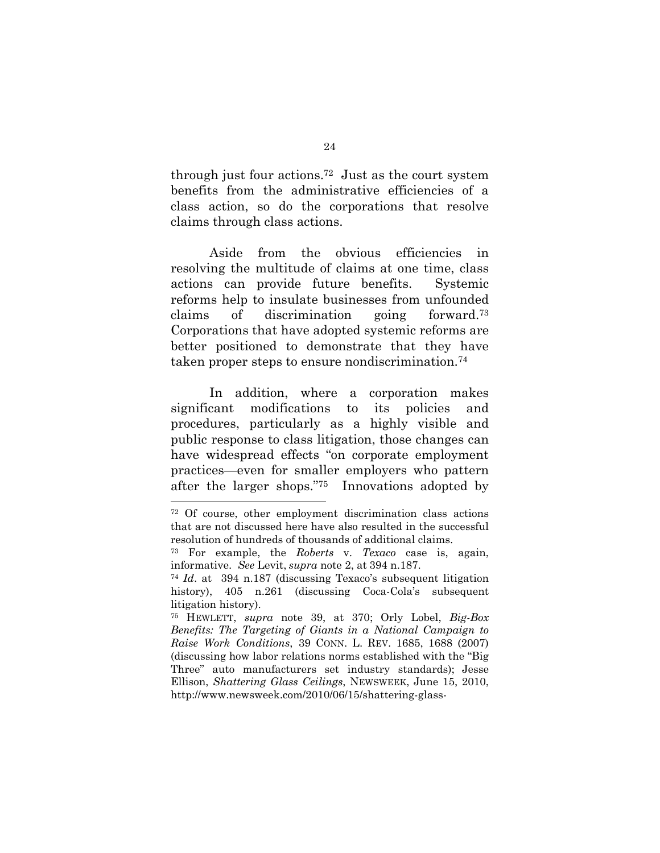through just four actions.72 Just as the court system benefits from the administrative efficiencies of a class action, so do the corporations that resolve claims through class actions.

Aside from the obvious efficiencies in resolving the multitude of claims at one time, class actions can provide future benefits. Systemic reforms help to insulate businesses from unfounded claims of discrimination going forward.73 Corporations that have adopted systemic reforms are better positioned to demonstrate that they have taken proper steps to ensure nondiscrimination.74

In addition, where a corporation makes significant modifications to its policies and procedures, particularly as a highly visible and public response to class litigation, those changes can have widespread effects "on corporate employment practices—even for smaller employers who pattern after the larger shops."75 Innovations adopted by

<sup>72</sup> Of course, other employment discrimination class actions that are not discussed here have also resulted in the successful resolution of hundreds of thousands of additional claims.

<sup>73</sup> For example, the *Roberts* v. *Texaco* case is, again, informative. *See* Levit, *supra* note 2, at 394 n.187.

<sup>74</sup> *Id*. at 394 n.187 (discussing Texaco's subsequent litigation history), 405 n.261 (discussing Coca-Cola's subsequent litigation history).

<sup>75</sup> HEWLETT, *supra* note 39, at 370; Orly Lobel, *Big-Box Benefits: The Targeting of Giants in a National Campaign to Raise Work Conditions*, 39 CONN. L. REV. 1685, 1688 (2007) (discussing how labor relations norms established with the "Big Three" auto manufacturers set industry standards); Jesse Ellison, *Shattering Glass Ceilings*, NEWSWEEK, June 15, 2010, http://www.newsweek.com/2010/06/15/shattering-glass-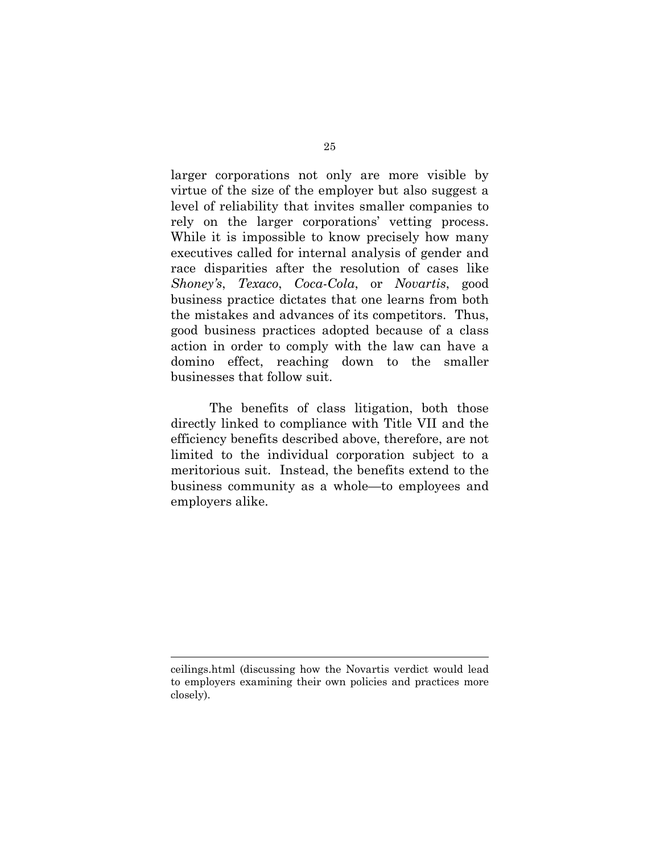larger corporations not only are more visible by virtue of the size of the employer but also suggest a level of reliability that invites smaller companies to rely on the larger corporations' vetting process. While it is impossible to know precisely how many executives called for internal analysis of gender and race disparities after the resolution of cases like *Shoney's*, *Texaco*, *Coca-Cola*, or *Novartis*, good business practice dictates that one learns from both the mistakes and advances of its competitors. Thus, good business practices adopted because of a class action in order to comply with the law can have a domino effect, reaching down to the smaller businesses that follow suit.

The benefits of class litigation, both those directly linked to compliance with Title VII and the efficiency benefits described above, therefore, are not limited to the individual corporation subject to a meritorious suit. Instead, the benefits extend to the business community as a whole—to employees and employers alike.

ceilings.html (discussing how the Novartis verdict would lead to employers examining their own policies and practices more closely).